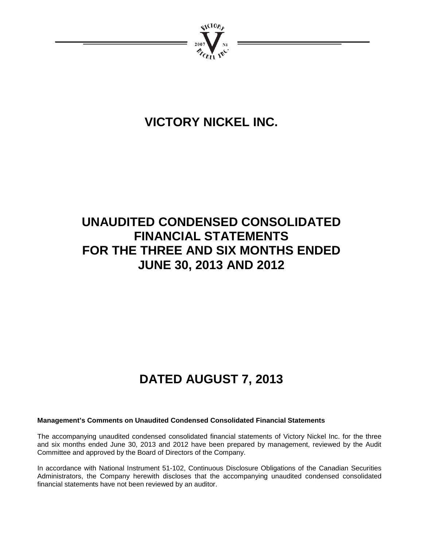

# **VICTORY NICKEL INC.**

# **UNAUDITED CONDENSED CONSOLIDATED FINANCIAL STATEMENTS FOR THE THREE AND SIX MONTHS ENDED JUNE 30, 2013 AND 2012**

# **DATED AUGUST 7, 2013**

# **Management's Comments on Unaudited Condensed Consolidated Financial Statements**

The accompanying unaudited condensed consolidated financial statements of Victory Nickel Inc. for the three and six months ended June 30, 2013 and 2012 have been prepared by management, reviewed by the Audit Committee and approved by the Board of Directors of the Company.

In accordance with National Instrument 51-102, Continuous Disclosure Obligations of the Canadian Securities Administrators, the Company herewith discloses that the accompanying unaudited condensed consolidated financial statements have not been reviewed by an auditor.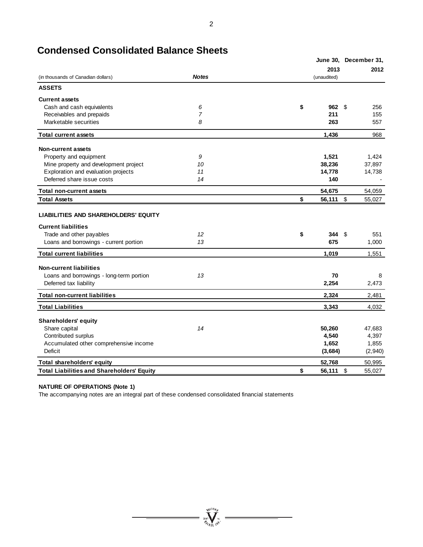|                                                                    |              |                 | June 30, December 31, |
|--------------------------------------------------------------------|--------------|-----------------|-----------------------|
|                                                                    |              | 2013            | 2012                  |
| (in thousands of Canadian dollars)                                 | <b>Notes</b> | (unaudited)     |                       |
| <b>ASSETS</b>                                                      |              |                 |                       |
| <b>Current assets</b>                                              |              |                 |                       |
| Cash and cash equivalents                                          | 6            | \$<br>962       | \$<br>256             |
| Receivables and prepaids                                           | 7            | 211             | 155                   |
| Marketable securities                                              | 8            | 263             | 557                   |
| <b>Total current assets</b>                                        |              | 1,436           | 968                   |
| <b>Non-current assets</b>                                          |              |                 |                       |
| Property and equipment                                             | 9            | 1,521           | 1,424                 |
| Mine property and development project                              | 10           | 38,236          | 37,897                |
| Exploration and evaluation projects                                | 11           | 14,778          | 14,738                |
| Deferred share issue costs                                         | 14           | 140             |                       |
| <b>Total non-current assets</b>                                    |              | 54,675          | 54,059                |
| <b>Total Assets</b>                                                |              | \$<br>56,111 \$ | 55,027                |
| LIABILITIES AND SHAREHOLDERS' EQUITY<br><b>Current liabilities</b> |              |                 |                       |
| Trade and other payables                                           | 12           | \$<br>344       | -\$<br>551            |
| Loans and borrowings - current portion                             | 13           | 675             | 1,000                 |
| <b>Total current liabilities</b>                                   |              | 1,019           | 1,551                 |
| <b>Non-current liabilities</b>                                     |              |                 |                       |
| Loans and borrowings - long-term portion                           | 13           | 70              | 8                     |
| Deferred tax liability                                             |              | 2,254           | 2,473                 |
| <b>Total non-current liabilities</b>                               |              | 2,324           | 2,481                 |
| <b>Total Liabilities</b>                                           |              | 3.343           | 4,032                 |
| <b>Shareholders' equity</b>                                        |              |                 |                       |
| Share capital                                                      | 14           | 50,260          | 47,683                |
| Contributed surplus                                                |              | 4,540           | 4,397                 |
| Accumulated other comprehensive income                             |              | 1,652           | 1,855                 |
| Deficit                                                            |              | (3,684)         | (2,940)               |
| Total shareholders' equity                                         |              | 52,768          | 50,995                |
| <b>Total Liabilities and Shareholders' Equity</b>                  |              | \$<br>56.111    | \$<br>55,027          |

# **Condensed Consolidated Balance Sheets**

#### **NATURE OF OPERATIONS (Note 1)**

The accompanying notes are an integral part of these condensed consolidated financial statements

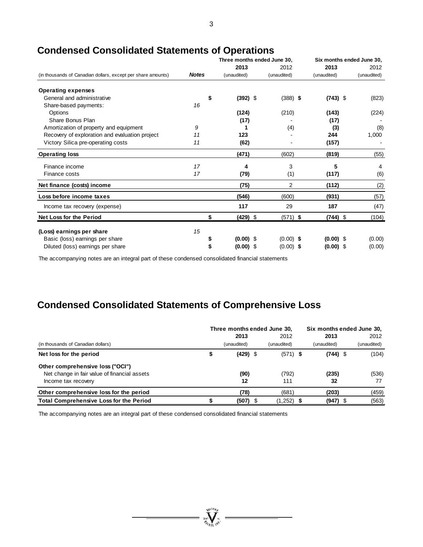|                                                              |              |             | Three months ended June 30. |             | Six months ended June 30, |  |  |
|--------------------------------------------------------------|--------------|-------------|-----------------------------|-------------|---------------------------|--|--|
|                                                              |              | 2013        | 2012                        | 2013        | 2012                      |  |  |
| (in thousands of Canadian dollars, except per share amounts) | <b>Notes</b> | (unaudited) | (unaudited)                 | (unaudited) | (unaudited)               |  |  |
| <b>Operating expenses</b>                                    |              |             |                             |             |                           |  |  |
| General and administrative                                   | \$           | $(392)$ \$  | $(388)$ \$                  | $(743)$ \$  | (823)                     |  |  |
| Share-based payments:                                        | 16           |             |                             |             |                           |  |  |
| Options                                                      |              | (124)       | (210)                       | (143)       | (224)                     |  |  |
| Share Bonus Plan                                             |              | (17)        |                             | (17)        |                           |  |  |
| Amortization of property and equipment                       | 9            |             | (4)                         | (3)         | (8)                       |  |  |
| Recovery of exploration and evaluation project               | 11           | 123         |                             | 244         | 1,000                     |  |  |
| Victory Silica pre-operating costs                           | 11           | (62)        |                             | (157)       |                           |  |  |
| <b>Operating loss</b>                                        |              | (471)       | (602)                       | (819)       | (55)                      |  |  |
| Finance income                                               | 17           | 4           | 3                           | 5           | 4                         |  |  |
| Finance costs                                                | 17           | (79)        | (1)                         | (117)       | (6)                       |  |  |
| Net finance (costs) income                                   |              | (75)        | 2                           | (112)       | (2)                       |  |  |
| Loss before income taxes                                     |              | (546)       | (600)                       | (931)       | (57)                      |  |  |
| Income tax recovery (expense)                                |              | 117         | 29                          | 187         | (47)                      |  |  |
| <b>Net Loss for the Period</b>                               | \$           | $(429)$ \$  | $(571)$ \$                  | $(744)$ \$  | (104)                     |  |  |
| (Loss) earnings per share                                    | 15           |             |                             |             |                           |  |  |
| Basic (loss) earnings per share                              |              | $(0.00)$ \$ | $(0.00)$ \$                 | $(0.00)$ \$ | (0.00)                    |  |  |
| Diluted (loss) earnings per share                            |              | $(0.00)$ \$ | $(0.00)$ \$                 | $(0.00)$ \$ | (0.00)                    |  |  |

# **Condensed Consolidated Statements of Operations**

The accompanying notes are an integral part of these condensed consolidated financial statements

# **Condensed Consolidated Statements of Comprehensive Loss**

|                                                | Three months ended June 30, | Six months ended June 30, |             |  |             |
|------------------------------------------------|-----------------------------|---------------------------|-------------|--|-------------|
|                                                | 2013                        | 2012                      | 2013        |  | 2012        |
| (in thousands of Canadian dollars)             | (unaudited)                 | (unaudited)               | (unaudited) |  | (unaudited) |
| Net loss for the period                        | $(429)$ \$                  | $(571)$ \$                | $(744)$ \$  |  | (104)       |
| Other comprehensive loss ("OCI")               |                             |                           |             |  |             |
| Net change in fair value of financial assets   | (90)                        | (792)                     | (235)       |  | (536)       |
| Income tax recovery                            | 12                          | 111                       | 32          |  | 77          |
| Other comprehensive loss for the period        | (78)                        | (681)                     | (203)       |  | (459)       |
| <b>Total Comprehensive Loss for the Period</b> | (507)                       | (1,252)                   | $(947)$ \$  |  | (563)       |

 $\sum_{\text{test}}^{\text{NCGO}} \sum_{\text{NCGO}}$ 

The accompanying notes are an integral part of these condensed consolidated financial statements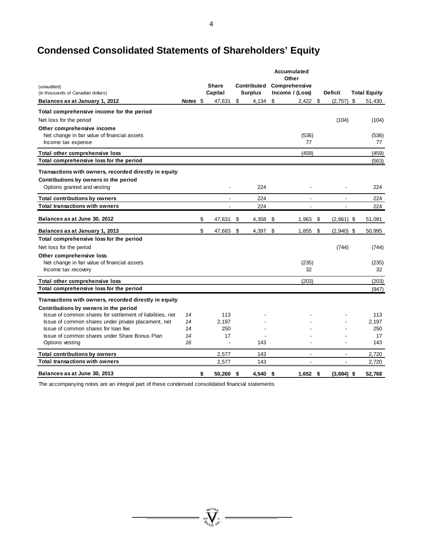# **Condensed Consolidated Statements of Shareholders' Equity**

|                                                           |          |                |     |                | Accumulated<br>Other |                          |                     |
|-----------------------------------------------------------|----------|----------------|-----|----------------|----------------------|--------------------------|---------------------|
| (unaudited)                                               |          | <b>Share</b>   |     | Contributed    | Comprehensive        |                          |                     |
| (in thousands of Canadian dollars)                        |          | Capital        |     | <b>Surplus</b> | Income / (Loss)      | <b>Deficit</b>           | <b>Total Equity</b> |
| Balances as at January 1, 2012                            | Notes \$ | 47,631         | \$  | 4,134          | \$<br>2,422          | \$<br>(2, 757)           | \$<br>51,430        |
| Total comprehensive income for the period                 |          |                |     |                |                      |                          |                     |
| Net loss for the period                                   |          |                |     |                |                      | (104)                    | (104)               |
| Other comprehensive income                                |          |                |     |                |                      |                          |                     |
| Net change in fair value of financial assets              |          |                |     |                | (536)                |                          | (536)               |
| Income tax expense                                        |          |                |     |                | 77                   |                          | 77                  |
| Total other comprehensive loss                            |          |                |     |                | (459)                |                          | (459)               |
| Total comprehensive loss for the period                   |          |                |     |                |                      |                          | (563)               |
| Transactions with owners, recorded directly in equity     |          |                |     |                |                      |                          |                     |
| Contributions by owners in the period                     |          |                |     |                |                      |                          |                     |
| Options granted and vesting                               |          |                |     | 224            |                      |                          | 224                 |
| <b>Total contributions by owners</b>                      |          | $\blacksquare$ |     | 224            | $\blacksquare$       | $\blacksquare$           | 224                 |
| <b>Total transactions with owners</b>                     |          |                |     | 224            |                      |                          | 224                 |
| Balances as at June 30, 2012                              |          | \$<br>47,631   | \$  | 4,358          | \$<br>1,963          | \$<br>$(2,861)$ \$       | 51,091              |
| Balances as at January 1, 2013                            |          | \$<br>47,683   | -\$ | 4,397 \$       | 1,855                | \$<br>$(2,940)$ \$       | 50,995              |
| Total comprehensive loss for the period                   |          |                |     |                |                      |                          |                     |
| Net loss for the period                                   |          |                |     |                |                      | (744)                    | (744)               |
| Other comprehensive loss                                  |          |                |     |                |                      |                          |                     |
| Net change in fair value of financial assets              |          |                |     |                | (235)                |                          | (235)               |
| Income tax recovery                                       |          |                |     |                | 32                   |                          | 32                  |
| Total other comprehensive loss                            |          |                |     |                | (203)                |                          | (203)               |
| Total comprehensive loss for the period                   |          |                |     |                |                      |                          | (947)               |
| Transactions with owners, recorded directly in equity     |          |                |     |                |                      |                          |                     |
| Contributions by owners in the period                     |          |                |     |                |                      |                          |                     |
| Issue of common shares for settlement of liabilities, net | 14       | 113            |     |                |                      |                          | 113                 |
| Issue of common shares under private placement, net       | 14       | 2,197          |     |                |                      |                          | 2.197               |
| Issue of common shares for loan fee                       | 14       | 250            |     |                |                      |                          | 250                 |
| Issue of common shares under Share Bonus Plan             | 14       | 17             |     |                |                      |                          | 17                  |
| Options vesting                                           | 16       |                |     | 143            |                      |                          | 143                 |
| <b>Total contributions by owners</b>                      |          | 2,577          |     | 143            | $\blacksquare$       | $\blacksquare$           | 2,720               |
| <b>Total transactions with owners</b>                     |          | 2,577          |     | 143            | $\blacksquare$       | $\overline{\phantom{a}}$ | 2,720               |
| Balances as at June 30, 2013                              |          | \$<br>50,260   | \$  | 4,540 \$       | $1,652$ \$           | $(3,684)$ \$             | 52,768              |

 $=\sum_{\substack{3\leq l\leq n\\ \text{with }j\neq k}}^{\infty}$ 

The accompanying notes are an integral part of these condensed consolidated financial statements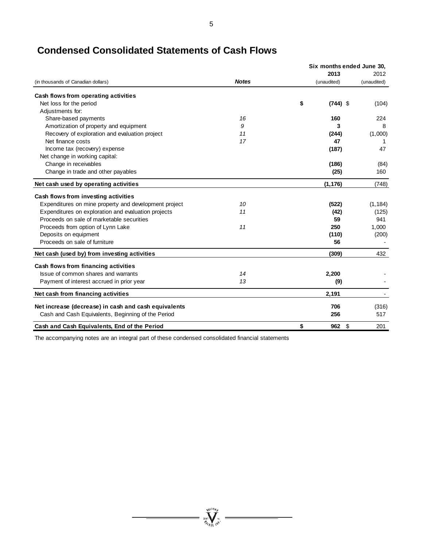|                                                       |              | Six months ended June 30, |             |  |
|-------------------------------------------------------|--------------|---------------------------|-------------|--|
|                                                       |              | 2013                      | 2012        |  |
| (in thousands of Canadian dollars)                    | <b>Notes</b> | (unaudited)               | (unaudited) |  |
| Cash flows from operating activities                  |              |                           |             |  |
| Net loss for the period                               |              | \$<br>$(744)$ \$          | (104)       |  |
| Adjustments for:                                      |              |                           |             |  |
| Share-based payments                                  | 16           | 160                       | 224         |  |
| Amortization of property and equipment                | 9            | 3                         | 8           |  |
| Recovery of exploration and evaluation project        | 11           | (244)                     | (1,000)     |  |
| Net finance costs                                     | 17           | 47                        | 1           |  |
| Income tax (recovery) expense                         |              | (187)                     | 47          |  |
| Net change in working capital:                        |              |                           |             |  |
| Change in receivables                                 |              | (186)                     | (84)        |  |
| Change in trade and other payables                    |              | (25)                      | 160         |  |
| Net cash used by operating activities                 |              | (1, 176)                  | (748)       |  |
| Cash flows from investing activities                  |              |                           |             |  |
| Expenditures on mine property and development project | 10           | (522)                     | (1, 184)    |  |
| Expenditures on exploration and evaluation projects   | 11           | (42)                      | (125)       |  |
| Proceeds on sale of marketable securities             |              | 59                        | 941         |  |
| Proceeds from option of Lynn Lake                     | 11           | 250                       | 1,000       |  |
| Deposits on equipment                                 |              | (110)                     | (200)       |  |
| Proceeds on sale of furniture                         |              | 56                        |             |  |
| Net cash (used by) from investing activities          |              | (309)                     | 432         |  |
| Cash flows from financing activities                  |              |                           |             |  |
| Issue of common shares and warrants                   | 14           | 2,200                     |             |  |
| Payment of interest accrued in prior year             | 13           | (9)                       |             |  |
| Net cash from financing activities                    |              | 2,191                     |             |  |
| Net increase (decrease) in cash and cash equivalents  |              | 706                       | (316)       |  |
| Cash and Cash Equivalents, Beginning of the Period    |              | 256                       | 517         |  |
| Cash and Cash Equivalents, End of the Period          |              | \$<br>$962 \quad $$       | 201         |  |

# **Condensed Consolidated Statements of Cash Flows**

The accompanying notes are an integral part of these condensed consolidated financial statements

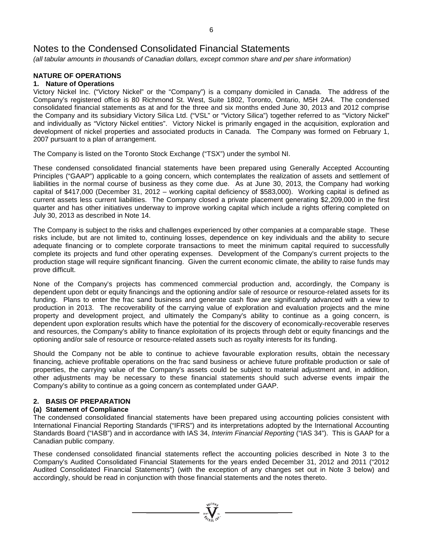*(all tabular amounts in thousands of Canadian dollars, except common share and per share information)*

# **NATURE OF OPERATIONS**

# **1. Nature of Operations**

Victory Nickel Inc. ("Victory Nickel" or the "Company") is a company domiciled in Canada. The address of the Company's registered office is 80 Richmond St. West, Suite 1802, Toronto, Ontario, M5H 2A4. The condensed consolidated financial statements as at and for the three and six months ended June 30, 2013 and 2012 comprise the Company and its subsidiary Victory Silica Ltd. ("VSL" or "Victory Silica") together referred to as "Victory Nickel" and individually as "Victory Nickel entities". Victory Nickel is primarily engaged in the acquisition, exploration and development of nickel properties and associated products in Canada. The Company was formed on February 1, 2007 pursuant to a plan of arrangement.

The Company is listed on the Toronto Stock Exchange ("TSX") under the symbol NI.

These condensed consolidated financial statements have been prepared using Generally Accepted Accounting Principles ("GAAP") applicable to a going concern, which contemplates the realization of assets and settlement of liabilities in the normal course of business as they come due. As at June 30, 2013, the Company had working capital of \$417,000 (December 31, 2012 – working capital deficiency of \$583,000). Working capital is defined as current assets less current liabilities. The Company closed a private placement generating \$2,209,000 in the first quarter and has other initiatives underway to improve working capital which include a rights offering completed on July 30, 2013 as described in Note 14.

The Company is subject to the risks and challenges experienced by other companies at a comparable stage. These risks include, but are not limited to, continuing losses, dependence on key individuals and the ability to secure adequate financing or to complete corporate transactions to meet the minimum capital required to successfully complete its projects and fund other operating expenses. Development of the Company's current projects to the production stage will require significant financing. Given the current economic climate, the ability to raise funds may prove difficult.

None of the Company's projects has commenced commercial production and, accordingly, the Company is dependent upon debt or equity financings and the optioning and/or sale of resource or resource-related assets for its funding. Plans to enter the frac sand business and generate cash flow are significantly advanced with a view to production in 2013. The recoverability of the carrying value of exploration and evaluation projects and the mine property and development project, and ultimately the Company's ability to continue as a going concern, is dependent upon exploration results which have the potential for the discovery of economically-recoverable reserves and resources, the Company's ability to finance exploitation of its projects through debt or equity financings and the optioning and/or sale of resource or resource-related assets such as royalty interests for its funding.

Should the Company not be able to continue to achieve favourable exploration results, obtain the necessary financing, achieve profitable operations on the frac sand business or achieve future profitable production or sale of properties, the carrying value of the Company's assets could be subject to material adjustment and, in addition, other adjustments may be necessary to these financial statements should such adverse events impair the Company's ability to continue as a going concern as contemplated under GAAP.

# **2. BASIS OF PREPARATION**

# **(a) Statement of Compliance**

The condensed consolidated financial statements have been prepared using accounting policies consistent with International Financial Reporting Standards ("IFRS") and its interpretations adopted by the International Accounting Standards Board ("IASB") and in accordance with IAS 34, *Interim Financial Reporting* ("IAS 34"). This is GAAP for a Canadian public company.

These condensed consolidated financial statements reflect the accounting policies described in Note 3 to the Company's Audited Consolidated Financial Statements for the years ended December 31, 2012 and 2011 ("2012 Audited Consolidated Financial Statements") (with the exception of any changes set out in Note 3 below) and accordingly, should be read in conjunction with those financial statements and the notes thereto.

 $\sum_{\substack{300 \text{ N} \text{odd } \\ \text{odd } \text{odd } \\ \text{odd } \text{odd } \\ \text{odd } \text{odd } \\ \text{odd } \text{odd } \\ \text{odd } \text{odd } \\ \text{odd } \text{odd } \\ \text{odd } \text{odd } \\ \text{odd } \text{odd } \\ \text{odd } \text{odd } \\ \text{odd } \text{odd } \\ \text{odd } \text{odd } \\ \text{odd } \text{odd } \\ \text{odd } \text{odd } \\ \text{odd } \text{odd } \\ \text{odd } \text{odd } \\ \text{odd } \text{odd } \\ \text{odd } \text{odd } \\ \text{odd } \text{odd } \\ \$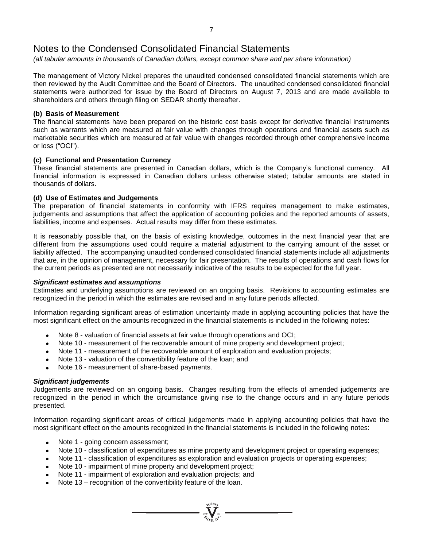*(all tabular amounts in thousands of Canadian dollars, except common share and per share information)*

The management of Victory Nickel prepares the unaudited condensed consolidated financial statements which are then reviewed by the Audit Committee and the Board of Directors. The unaudited condensed consolidated financial statements were authorized for issue by the Board of Directors on August 7, 2013 and are made available to shareholders and others through filing on SEDAR shortly thereafter.

# **(b) Basis of Measurement**

The financial statements have been prepared on the historic cost basis except for derivative financial instruments such as warrants which are measured at fair value with changes through operations and financial assets such as marketable securities which are measured at fair value with changes recorded through other comprehensive income or loss ("OCI").

# **(c) Functional and Presentation Currency**

These financial statements are presented in Canadian dollars, which is the Company's functional currency. All financial information is expressed in Canadian dollars unless otherwise stated; tabular amounts are stated in thousands of dollars.

# **(d) Use of Estimates and Judgements**

The preparation of financial statements in conformity with IFRS requires management to make estimates, judgements and assumptions that affect the application of accounting policies and the reported amounts of assets, liabilities, income and expenses. Actual results may differ from these estimates.

It is reasonably possible that, on the basis of existing knowledge, outcomes in the next financial year that are different from the assumptions used could require a material adjustment to the carrying amount of the asset or liability affected. The accompanying unaudited condensed consolidated financial statements include all adjustments that are, in the opinion of management, necessary for fair presentation. The results of operations and cash flows for the current periods as presented are not necessarily indicative of the results to be expected for the full year.

# *Significant estimates and assumptions*

Estimates and underlying assumptions are reviewed on an ongoing basis. Revisions to accounting estimates are recognized in the period in which the estimates are revised and in any future periods affected.

Information regarding significant areas of estimation uncertainty made in applying accounting policies that have the most significant effect on the amounts recognized in the financial statements is included in the following notes:

- Note 8 valuation of financial assets at fair value through operations and OCI;
- Note 10 measurement of the recoverable amount of mine property and development project;
- Note 11 measurement of the recoverable amount of exploration and evaluation projects;
- Note 13 valuation of the convertibility feature of the loan; and
- Note 16 measurement of share-based payments.

# *Significant judgements*

Judgements are reviewed on an ongoing basis. Changes resulting from the effects of amended judgements are recognized in the period in which the circumstance giving rise to the change occurs and in any future periods presented.

Information regarding significant areas of critical judgements made in applying accounting policies that have the most significant effect on the amounts recognized in the financial statements is included in the following notes:

- Note 1 going concern assessment;
- Note 10 classification of expenditures as mine property and development project or operating expenses;

 $\sum_{\substack{u \in \mathcal{U} \\ \mathcal{U} \subseteq \mathcal{U}}} \sum_{\substack{u \in \mathcal{U} \\ u \in \mathcal{U}}}$ 

- Note 11 classification of expenditures as exploration and evaluation projects or operating expenses;
- Note 10 impairment of mine property and development project;
- Note 11 impairment of exploration and evaluation projects; and
- Note 13 recognition of the convertibility feature of the loan.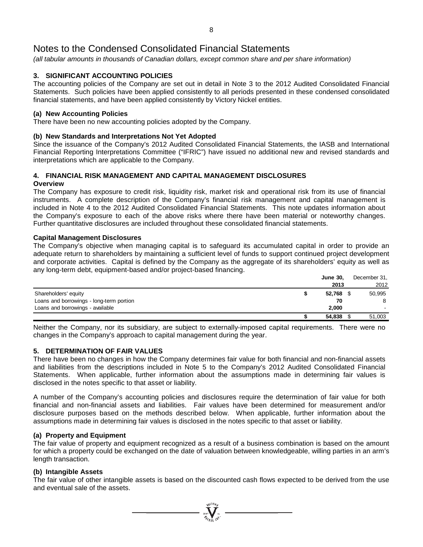*(all tabular amounts in thousands of Canadian dollars, except common share and per share information)*

# **3. SIGNIFICANT ACCOUNTING POLICIES**

The accounting policies of the Company are set out in detail in Note 3 to the 2012 Audited Consolidated Financial Statements. Such policies have been applied consistently to all periods presented in these condensed consolidated financial statements, and have been applied consistently by Victory Nickel entities.

# **(a) New Accounting Policies**

There have been no new accounting policies adopted by the Company.

# **(b) New Standards and Interpretations Not Yet Adopted**

Since the issuance of the Company's 2012 Audited Consolidated Financial Statements, the IASB and International Financial Reporting Interpretations Committee ("IFRIC") have issued no additional new and revised standards and interpretations which are applicable to the Company.

# **4. FINANCIAL RISK MANAGEMENT AND CAPITAL MANAGEMENT DISCLOSURES**

# **Overview**

The Company has exposure to credit risk, liquidity risk, market risk and operational risk from its use of financial instruments. A complete description of the Company's financial risk management and capital management is included in Note 4 to the 2012 Audited Consolidated Financial Statements. This note updates information about the Company's exposure to each of the above risks where there have been material or noteworthy changes. Further quantitative disclosures are included throughout these consolidated financial statements.

# **Capital Management Disclosures**

The Company's objective when managing capital is to safeguard its accumulated capital in order to provide an adequate return to shareholders by maintaining a sufficient level of funds to support continued project development and corporate activities. Capital is defined by the Company as the aggregate of its shareholders' equity as well as any long-term debt, equipment-based and/or project-based financing.

| <b>June 30.</b> | December 31, |
|-----------------|--------------|
| 2013            | 2012         |
| 52.768          | 50,995       |
| 70              | 8            |
| 2.000           |              |
| 54,838          | 51,003       |
|                 |              |

Neither the Company, nor its subsidiary, are subject to externally-imposed capital requirements. There were no changes in the Company's approach to capital management during the year.

# **5. DETERMINATION OF FAIR VALUES**

There have been no changes in how the Company determines fair value for both financial and non-financial assets and liabilities from the descriptions included in Note 5 to the Company's 2012 Audited Consolidated Financial Statements. When applicable, further information about the assumptions made in determining fair values is disclosed in the notes specific to that asset or liability.

A number of the Company's accounting policies and disclosures require the determination of fair value for both financial and non-financial assets and liabilities. Fair values have been determined for measurement and/or disclosure purposes based on the methods described below. When applicable, further information about the assumptions made in determining fair values is disclosed in the notes specific to that asset or liability.

# **(a) Property and Equipment**

The fair value of property and equipment recognized as a result of a business combination is based on the amount for which a property could be exchanged on the date of valuation between knowledgeable, willing parties in an arm's length transaction.

# **(b) Intangible Assets**

The fair value of other intangible assets is based on the discounted cash flows expected to be derived from the use and eventual sale of the assets.

 $\sum_{\mathbf{y} \in \mathcal{X}} \sum_{\mathbf{y} \in \mathcal{X}} \sum_{\mathbf{y} \in \mathcal{Y}} \mathbf{y} =$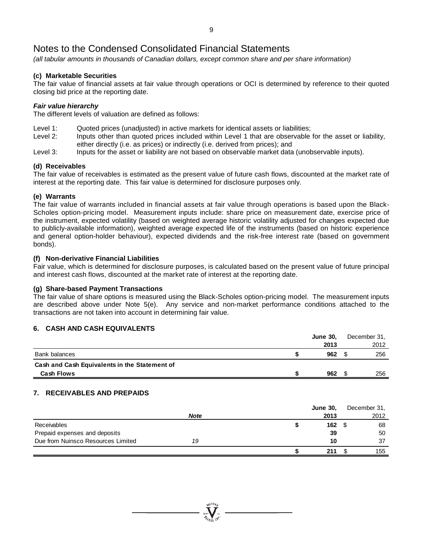*(all tabular amounts in thousands of Canadian dollars, except common share and per share information)*

# **(c) Marketable Securities**

The fair value of financial assets at fair value through operations or OCI is determined by reference to their quoted closing bid price at the reporting date.

# *Fair value hierarchy*

The different levels of valuation are defined as follows:

- Level 1: Quoted prices (unadjusted) in active markets for identical assets or liabilities;<br>Level 2: linputs other than quoted prices included within Level 1 that are observable
- Inputs other than quoted prices included within Level 1 that are observable for the asset or liability, either directly (i.e. as prices) or indirectly (i.e. derived from prices); and
- Level 3: Inputs for the asset or liability are not based on observable market data (unobservable inputs).

# **(d) Receivables**

The fair value of receivables is estimated as the present value of future cash flows, discounted at the market rate of interest at the reporting date. This fair value is determined for disclosure purposes only.

# **(e) Warrants**

The fair value of warrants included in financial assets at fair value through operations is based upon the Black-Scholes option-pricing model. Measurement inputs include: share price on measurement date, exercise price of the instrument, expected volatility (based on weighted average historic volatility adjusted for changes expected due to publicly-available information), weighted average expected life of the instruments (based on historic experience and general option-holder behaviour), expected dividends and the risk-free interest rate (based on government bonds).

# **(f) Non-derivative Financial Liabilities**

Fair value, which is determined for disclosure purposes, is calculated based on the present value of future principal and interest cash flows, discounted at the market rate of interest at the reporting date.

# **(g) Share-based Payment Transactions**

The fair value of share options is measured using the Black-Scholes option-pricing model. The measurement inputs are described above under Note 5(e). Any service and non-market performance conditions attached to the transactions are not taken into account in determining fair value.

# **6. CASH AND CASH EQUIVALENTS**

|                                               | <b>June 30,</b> | December 31. |
|-----------------------------------------------|-----------------|--------------|
|                                               | 2013            | 2012         |
| Bank balances                                 | 962             | 256          |
| Cash and Cash Equivalents in the Statement of |                 |              |
| <b>Cash Flows</b>                             | 962             | 256          |

# **7. RECEIVABLES AND PREPAIDS**

|                                    |             | <b>June 30,</b> | December 31, |
|------------------------------------|-------------|-----------------|--------------|
|                                    | <b>Note</b> | 2013            | 2012         |
| <b>Receivables</b>                 |             | 162             | 68           |
| Prepaid expenses and deposits      |             | 39              | 50           |
| Due from Nuinsco Resources Limited | 19          | 10              | 37           |
|                                    |             | 211             | 155          |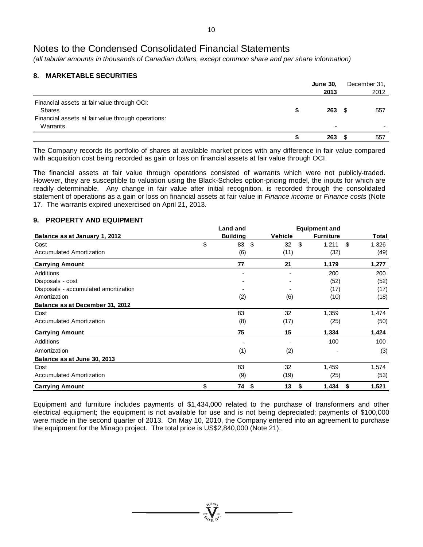*(all tabular amounts in thousands of Canadian dollars, except common share and per share information)*

# **8. MARKETABLE SECURITIES**

|                                                                | <b>June 30,</b> |      | December 31, |
|----------------------------------------------------------------|-----------------|------|--------------|
|                                                                | 2013            |      | 2012         |
| Financial assets at fair value through OCI:<br>Shares          | 263             | - \$ | 557          |
| Financial assets at fair value through operations:<br>Warrants | ۰               |      |              |
|                                                                | 263             |      | 557          |

The Company records its portfolio of shares at available market prices with any difference in fair value compared with acquisition cost being recorded as gain or loss on financial assets at fair value through OCI.

The financial assets at fair value through operations consisted of warrants which were not publicly-traded. However, they are susceptible to valuation using the Black-Scholes option-pricing model, the inputs for which are readily determinable. Any change in fair value after initial recognition, is recorded through the consolidated statement of operations as a gain or loss on financial assets at fair value in *Finance income* or *Finance costs* (Note 17. The warrants expired unexercised on April 21, 2013.

# **9. PROPERTY AND EQUIPMENT**

|                                      | <b>Land and</b> | <b>Equipment and</b> |                  |       |  |
|--------------------------------------|-----------------|----------------------|------------------|-------|--|
| Balance as at January 1, 2012        | <b>Building</b> | <b>Vehicle</b>       | <b>Furniture</b> | Total |  |
| Cost                                 | \$<br>83<br>-\$ | \$<br>32             | \$<br>1,211      | 1,326 |  |
| <b>Accumulated Amortization</b>      | (6)             | (11)                 | (32)             | (49)  |  |
| <b>Carrying Amount</b>               | 77              | 21                   | 1,179            | 1,277 |  |
| Additions                            |                 |                      | 200              | 200   |  |
| Disposals - cost                     |                 |                      | (52)             | (52)  |  |
| Disposals - accumulated amortization |                 |                      | (17)             | (17)  |  |
| Amortization                         | (2)             | (6)                  | (10)             | (18)  |  |
| Balance as at December 31, 2012      |                 |                      |                  |       |  |
| Cost                                 | 83              | 32                   | 1,359            | 1,474 |  |
| Accumulated Amortization             | (8)             | (17)                 | (25)             | (50)  |  |
| <b>Carrying Amount</b>               | 75              | 15                   | 1,334            | 1,424 |  |
| <b>Additions</b>                     |                 |                      | 100              | 100   |  |
| Amortization                         | (1)             | (2)                  |                  | (3)   |  |
| Balance as at June 30, 2013          |                 |                      |                  |       |  |
| Cost                                 | 83              | 32                   | 1,459            | 1,574 |  |
| Accumulated Amortization             | (9)             | (19)                 | (25)             | (53)  |  |
| <b>Carrying Amount</b>               | \$<br>74 \$     | 13<br>S              | 1,434<br>\$      | 1,521 |  |

Equipment and furniture includes payments of \$1,434,000 related to the purchase of transformers and other electrical equipment; the equipment is not available for use and is not being depreciated; payments of \$100,000 were made in the second quarter of 2013. On May 10, 2010, the Company entered into an agreement to purchase the equipment for the Minago project. The total price is US\$2,840,000 (Note 21).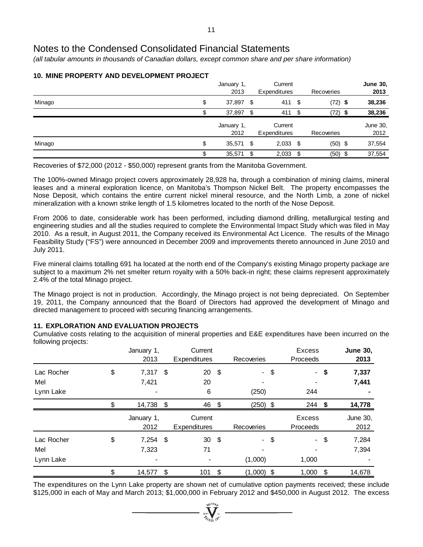*(all tabular amounts in thousands of Canadian dollars, except common share and per share information)*

|        |         | January 1,<br>2013 |      | Current<br><b>Expenditures</b> |      | Recoveries | <b>June 30,</b><br>2013 |
|--------|---------|--------------------|------|--------------------------------|------|------------|-------------------------|
| Minago | \$      | 37,897 \$          |      | 411 \$                         |      | $(72)$ \$  | 38,236                  |
|        |         | 37,897             |      | 411                            | - \$ | (72)       | 38,236                  |
|        |         | January 1,         |      | Current                        |      |            | June 30,                |
|        |         | 2012               |      | Expenditures                   |      | Recoveries | 2012                    |
| Minago | \$      | 35,571 \$          |      | $2,033$ \$                     |      | $(50)$ \$  | 37,554                  |
|        | ጥ<br>Jэ | 35,571             | - \$ | 2,033                          | - \$ | $(50)$ \$  | 37,554                  |

# **10. MINE PROPERTY AND DEVELOPMENT PROJECT**

Recoveries of \$72,000 (2012 - \$50,000) represent grants from the Manitoba Government.

The 100%-owned Minago project covers approximately 28,928 ha, through a combination of mining claims, mineral leases and a mineral exploration licence, on Manitoba's Thompson Nickel Belt. The property encompasses the Nose Deposit, which contains the entire current nickel mineral resource, and the North Limb, a zone of nickel mineralization with a known strike length of 1.5 kilometres located to the north of the Nose Deposit.

From 2006 to date, considerable work has been performed, including diamond drilling, metallurgical testing and engineering studies and all the studies required to complete the Environmental Impact Study which was filed in May 2010. As a result, in August 2011, the Company received its Environmental Act Licence. The results of the Minago Feasibility Study ("FS") were announced in December 2009 and improvements thereto announced in June 2010 and July 2011.

Five mineral claims totalling 691 ha located at the north end of the Company's existing Minago property package are subject to a maximum 2% net smelter return royalty with a 50% back-in right; these claims represent approximately 2.4% of the total Minago project.

The Minago project is not in production. Accordingly, the Minago project is not being depreciated. On September 19, 2011, the Company announced that the Board of Directors had approved the development of Minago and directed management to proceed with securing financing arrangements.

# **11. EXPLORATION AND EVALUATION PROJECTS**

Cumulative costs relating to the acquisition of mineral properties and E&E expenditures have been incurred on the following projects:

|            | January 1,<br>2013 | Current<br><b>Expenditures</b> |      | Recoveries   |        | Excess<br><b>Proceeds</b> |        | <b>June 30,</b><br>2013 |
|------------|--------------------|--------------------------------|------|--------------|--------|---------------------------|--------|-------------------------|
| Lac Rocher | \$<br>$7,317$ \$   | 20                             | - \$ |              | $-$ \$ | $\sim$                    | \$     | 7,337                   |
| Mel        | 7,421              | 20                             |      |              |        |                           |        | 7,441                   |
| Lynn Lake  |                    | 6                              |      | (250)        |        | 244                       |        |                         |
|            | 14,738 \$          | 46 \$                          |      | $(250)$ \$   |        | $244$ \$                  |        | 14,778                  |
|            | January 1,<br>2012 | Current<br><b>Expenditures</b> |      | Recoveries   |        | Excess<br><b>Proceeds</b> |        | June 30,<br>2012        |
| Lac Rocher | \$<br>$7,254$ \$   | 30                             | - \$ |              | - \$   |                           | $-$ \$ | 7,284                   |
| Mel        | 7,323              | 71                             |      |              |        |                           |        | 7,394                   |
| Lynn Lake  |                    |                                |      | (1,000)      |        | 1,000                     |        |                         |
|            | \$<br>14,577       | \$<br>101                      | \$   | $(1,000)$ \$ |        | 1,000                     | \$     | 14,678                  |

The expenditures on the Lynn Lake property are shown net of cumulative option payments received; these include \$125,000 in each of May and March 2013; \$1,000,000 in February 2012 and \$450,000 in August 2012. The excess

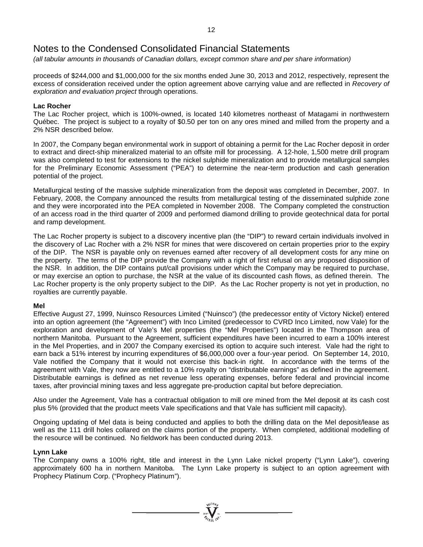*(all tabular amounts in thousands of Canadian dollars, except common share and per share information)*

proceeds of \$244,000 and \$1,000,000 for the six months ended June 30, 2013 and 2012, respectively, represent the excess of consideration received under the option agreement above carrying value and are reflected in *Recovery of exploration and evaluation project* through operations.

# **Lac Rocher**

The Lac Rocher project, which is 100%-owned, is located 140 kilometres northeast of Matagami in northwestern Québec. The project is subject to a royalty of \$0.50 per ton on any ores mined and milled from the property and a 2% NSR described below.

In 2007, the Company began environmental work in support of obtaining a permit for the Lac Rocher deposit in order to extract and direct-ship mineralized material to an offsite mill for processing. A 12-hole, 1,500 metre drill program was also completed to test for extensions to the nickel sulphide mineralization and to provide metallurgical samples for the Preliminary Economic Assessment ("PEA") to determine the near-term production and cash generation potential of the project.

Metallurgical testing of the massive sulphide mineralization from the deposit was completed in December, 2007. In February, 2008, the Company announced the results from metallurgical testing of the disseminated sulphide zone and they were incorporated into the PEA completed in November 2008. The Company completed the construction of an access road in the third quarter of 2009 and performed diamond drilling to provide geotechnical data for portal and ramp development.

The Lac Rocher property is subject to a discovery incentive plan (the "DIP") to reward certain individuals involved in the discovery of Lac Rocher with a 2% NSR for mines that were discovered on certain properties prior to the expiry of the DIP. The NSR is payable only on revenues earned after recovery of all development costs for any mine on the property. The terms of the DIP provide the Company with a right of first refusal on any proposed disposition of the NSR. In addition, the DIP contains put/call provisions under which the Company may be required to purchase, or may exercise an option to purchase, the NSR at the value of its discounted cash flows, as defined therein. The Lac Rocher property is the only property subject to the DIP. As the Lac Rocher property is not yet in production, no royalties are currently payable.

# **Mel**

Effective August 27, 1999, Nuinsco Resources Limited ("Nuinsco") (the predecessor entity of Victory Nickel) entered into an option agreement (the "Agreement") with Inco Limited (predecessor to CVRD Inco Limited, now Vale) for the exploration and development of Vale's Mel properties (the "Mel Properties") located in the Thompson area of northern Manitoba. Pursuant to the Agreement, sufficient expenditures have been incurred to earn a 100% interest in the Mel Properties, and in 2007 the Company exercised its option to acquire such interest. Vale had the right to earn back a 51% interest by incurring expenditures of \$6,000,000 over a four-year period. On September 14, 2010, Vale notified the Company that it would not exercise this back-in right. In accordance with the terms of the agreement with Vale, they now are entitled to a 10% royalty on "distributable earnings" as defined in the agreement. Distributable earnings is defined as net revenue less operating expenses, before federal and provincial income taxes, after provincial mining taxes and less aggregate pre-production capital but before depreciation.

Also under the Agreement, Vale has a contractual obligation to mill ore mined from the Mel deposit at its cash cost plus 5% (provided that the product meets Vale specifications and that Vale has sufficient mill capacity).

Ongoing updating of Mel data is being conducted and applies to both the drilling data on the Mel deposit/lease as well as the 111 drill holes collared on the claims portion of the property. When completed, additional modelling of the resource will be continued. No fieldwork has been conducted during 2013.

# **Lynn Lake**

The Company owns a 100% right, title and interest in the Lynn Lake nickel property ("Lynn Lake"), covering approximately 600 ha in northern Manitoba. The Lynn Lake property is subject to an option agreement with Prophecy Platinum Corp. ("Prophecy Platinum").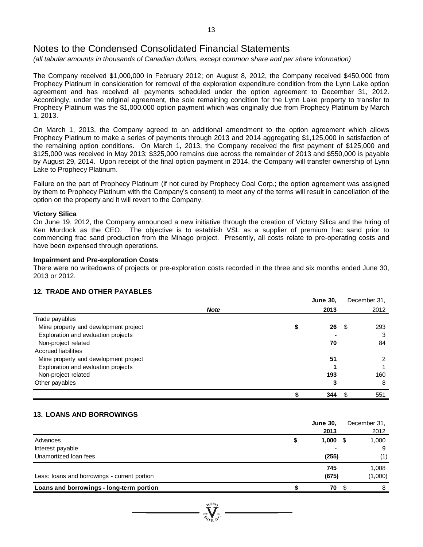*(all tabular amounts in thousands of Canadian dollars, except common share and per share information)*

The Company received \$1,000,000 in February 2012; on August 8, 2012, the Company received \$450,000 from Prophecy Platinum in consideration for removal of the exploration expenditure condition from the Lynn Lake option agreement and has received all payments scheduled under the option agreement to December 31, 2012. Accordingly, under the original agreement, the sole remaining condition for the Lynn Lake property to transfer to Prophecy Platinum was the \$1,000,000 option payment which was originally due from Prophecy Platinum by March 1, 2013.

On March 1, 2013, the Company agreed to an additional amendment to the option agreement which allows Prophecy Platinum to make a series of payments through 2013 and 2014 aggregating \$1,125,000 in satisfaction of the remaining option conditions. On March 1, 2013, the Company received the first payment of \$125,000 and \$125,000 was received in May 2013; \$325,000 remains due across the remainder of 2013 and \$550,000 is payable by August 29, 2014. Upon receipt of the final option payment in 2014, the Company will transfer ownership of Lynn Lake to Prophecy Platinum.

Failure on the part of Prophecy Platinum (if not cured by Prophecy Coal Corp.; the option agreement was assigned by them to Prophecy Platinum with the Company's consent) to meet any of the terms will result in cancellation of the option on the property and it will revert to the Company.

#### **Victory Silica**

On June 19, 2012, the Company announced a new initiative through the creation of Victory Silica and the hiring of Ken Murdock as the CEO. The objective is to establish VSL as a supplier of premium frac sand prior to commencing frac sand production from the Minago project. Presently, all costs relate to pre-operating costs and have been expensed through operations.

# **Impairment and Pre-exploration Costs**

There were no writedowns of projects or pre-exploration costs recorded in the three and six months ended June 30, 2013 or 2012.

# **12. TRADE AND OTHER PAYABLES**

|                                       |             | <b>June 30,</b> |     | December 31. |
|---------------------------------------|-------------|-----------------|-----|--------------|
|                                       | <b>Note</b> | 2013            |     | 2012         |
| Trade payables                        |             |                 |     |              |
| Mine property and development project |             | 26              | - 5 | 293          |
| Exploration and evaluation projects   |             |                 |     | 3            |
| Non-project related                   |             | 70              |     | 84           |
| <b>Accrued liabilities</b>            |             |                 |     |              |
| Mine property and development project |             | 51              |     | 2            |
| Exploration and evaluation projects   |             |                 |     |              |
| Non-project related                   |             | 193             |     | 160          |
| Other payables                        |             | 3               |     | 8            |
|                                       |             | 344             | S   | 551          |

# **13. LOANS AND BORROWINGS**

|                                              | <b>June 30,</b> |      | December 31, |
|----------------------------------------------|-----------------|------|--------------|
|                                              | 2013            |      | 2012         |
| Advances                                     | 1,000           | - \$ | 1,000        |
| Interest payable                             |                 |      | 9            |
| Unamortized loan fees                        | (255)           |      | (1)          |
|                                              | 745             |      | 1,008        |
| Less: loans and borrowings - current portion | (675)           |      | (1,000)      |
| Loans and borrowings - long-term portion     | 70              | \$.  | 8            |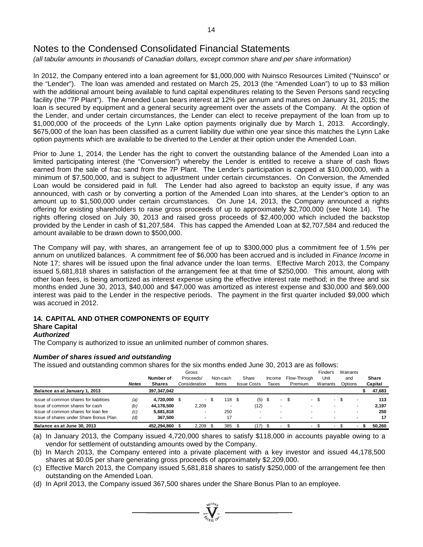*(all tabular amounts in thousands of Canadian dollars, except common share and per share information)*

In 2012, the Company entered into a loan agreement for \$1,000,000 with Nuinsco Resources Limited ("Nuinsco" or the "Lender"). The loan was amended and restated on March 25, 2013 (the "Amended Loan") to up to \$3 million with the additional amount being available to fund capital expenditures relating to the Seven Persons sand recycling facility (the "7P Plant"). The Amended Loan bears interest at 12% per annum and matures on January 31, 2015; the loan is secured by equipment and a general security agreement over the assets of the Company. At the option of the Lender, and under certain circumstances, the Lender can elect to receive prepayment of the loan from up to \$1,000,000 of the proceeds of the Lynn Lake option payments originally due by March 1, 2013. Accordingly, \$675,000 of the loan has been classified as a current liability due within one year since this matches the Lynn Lake option payments which are available to be diverted to the Lender at their option under the Amended Loan.

Prior to June 1, 2014, the Lender has the right to convert the outstanding balance of the Amended Loan into a limited participating interest (the "Conversion") whereby the Lender is entitled to receive a share of cash flows earned from the sale of frac sand from the 7P Plant. The Lender's participation is capped at \$10,000,000, with a minimum of \$7,500,000, and is subject to adjustment under certain circumstances. On Conversion, the Amended Loan would be considered paid in full. The Lender had also agreed to backstop an equity issue, if any was announced, with cash or by converting a portion of the Amended Loan into shares, at the Lender's option to an amount up to \$1,500,000 under certain circumstances. On June 14, 2013, the Company announced a rights offering for existing shareholders to raise gross proceeds of up to approximately \$2,700,000 (see Note 14). The rights offering closed on July 30, 2013 and raised gross proceeds of \$2,400,000 which included the backstop provided by the Lender in cash of \$1,207,584. This has capped the Amended Loan at \$2,707,584 and reduced the amount available to be drawn down to \$500,000.

The Company will pay, with shares, an arrangement fee of up to \$300,000 plus a commitment fee of 1.5% per annum on unutilized balances. A commitment fee of \$6,000 has been accrued and is included in *Finance Income* in Note 17; shares will be issued upon the final advance under the loan terms. Effective March 2013, the Company issued 5,681,818 shares in satisfaction of the arrangement fee at that time of \$250,000. This amount, along with other loan fees, is being amortized as interest expense using the effective interest rate method; in the three and six months ended June 30, 2013, \$40,000 and \$47,000 was amortized as interest expense and \$30,000 and \$69,000 interest was paid to the Lender in the respective periods. The payment in the first quarter included \$9,000 which was accrued in 2012.

# **14. CAPITAL AND OTHER COMPONENTS OF EQUITY**

# **Share Capital**

# *Authorized*

The Company is authorized to issue an unlimited number of common shares.

# *Number of shares issued and outstanding*

The issued and outstanding common shares for the six months ended June 30, 2013 are as follows:

|                                        | <b>Notes</b> | Number of<br><b>Shares</b> | Gross<br>Proceeds/<br>Consideration | Non-cash<br>Items | Share<br><b>Issue Costs</b> | Income<br>Taxes |   | Flow-Through<br>Premium |                          |     | Finder's<br>Unit<br>Warrants | and  | Warrants<br>Options      | <b>Share</b><br>Capital |
|----------------------------------------|--------------|----------------------------|-------------------------------------|-------------------|-----------------------------|-----------------|---|-------------------------|--------------------------|-----|------------------------------|------|--------------------------|-------------------------|
| Balance as at January 1, 2013          |              | 397.347.042                |                                     |                   |                             |                 |   |                         |                          |     |                              |      |                          | 47,683                  |
| Issue of common shares for liabilities | (a)          | 4,720,000 \$               | $\sim$                              | 18 \$             | (5)                         | S               | ۰ |                         | $\sim$                   | . ა | $\sim$                       | - \$ | ٠                        | 113                     |
| Issue of common shares for cash        | (b)          | 44.178.500                 | 2.209                               |                   | (12)                        |                 |   |                         |                          |     |                              |      | $\overline{\phantom{a}}$ | 2.197                   |
| Issue of common shares for loan fee    | (c)          | 5.681.818                  | ٠                                   | 250               |                             |                 |   |                         |                          |     |                              |      |                          | 250                     |
| Issue of shares under Share Bonus Plan | (d)          | 367.500                    | $\overline{\phantom{a}}$            | 17                |                             |                 |   |                         | $\overline{\phantom{a}}$ |     |                              |      | ۰                        | 17                      |
| Balance as at June 30, 2013            |              | 452.294.860                | 2.209                               | 385               | (17)                        |                 |   |                         |                          |     |                              |      |                          | 50.260                  |

(a) In January 2013, the Company issued 4,720,000 shares to satisfy \$118,000 in accounts payable owing to a vendor for settlement of outstanding amounts owed by the Company.

(b) In March 2013, the Company entered into a private placement with a key investor and issued 44,178,500 shares at \$0.05 per share generating gross proceeds of approximately \$2,209,000.

(c) Effective March 2013, the Company issued 5,681,818 shares to satisfy \$250,000 of the arrangement fee then outstanding on the Amended Loan.

 $\sum_{u \in \mathcal{N}}_{u \in \{0,1\}^N}$ 

(d) In April 2013, the Company issued 367,500 shares under the Share Bonus Plan to an employee.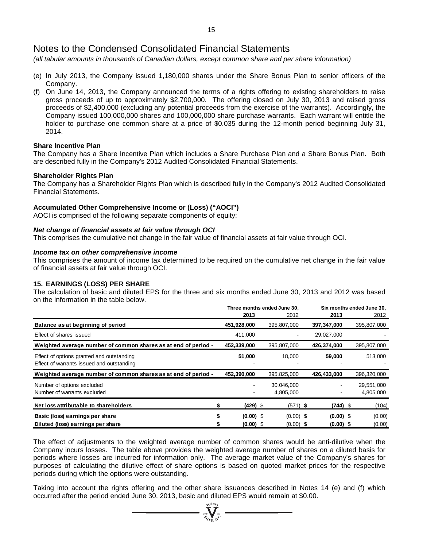*(all tabular amounts in thousands of Canadian dollars, except common share and per share information)*

- (e) In July 2013, the Company issued 1,180,000 shares under the Share Bonus Plan to senior officers of the Company.
- (f) On June 14, 2013, the Company announced the terms of a rights offering to existing shareholders to raise gross proceeds of up to approximately \$2,700,000. The offering closed on July 30, 2013 and raised gross proceeds of \$2,400,000 (excluding any potential proceeds from the exercise of the warrants). Accordingly, the Company issued 100,000,000 shares and 100,000,000 share purchase warrants. Each warrant will entitle the holder to purchase one common share at a price of \$0.035 during the 12-month period beginning July 31, 2014.

# **Share Incentive Plan**

The Company has a Share Incentive Plan which includes a Share Purchase Plan and a Share Bonus Plan. Both are described fully in the Company's 2012 Audited Consolidated Financial Statements.

#### **Shareholder Rights Plan**

The Company has a Shareholder Rights Plan which is described fully in the Company's 2012 Audited Consolidated Financial Statements.

#### **Accumulated Other Comprehensive Income or (Loss) ("AOCI")**

AOCI is comprised of the following separate components of equity:

#### *Net change of financial assets at fair value through OCI*

This comprises the cumulative net change in the fair value of financial assets at fair value through OCI.

#### *Income tax on other comprehensive income*

This comprises the amount of income tax determined to be required on the cumulative net change in the fair value of financial assets at fair value through OCI.

# **15. EARNINGS (LOSS) PER SHARE**

The calculation of basic and diluted EPS for the three and six months ended June 30, 2013 and 2012 was based on the information in the table below.

|                                                                                        | Three months ended June 30, |             |  |                         |             | Six months ended June 30, |                         |
|----------------------------------------------------------------------------------------|-----------------------------|-------------|--|-------------------------|-------------|---------------------------|-------------------------|
|                                                                                        |                             | 2013        |  | 2012                    | 2013        |                           | 2012                    |
| Balance as at beginning of period                                                      |                             | 451,928,000 |  | 395,807,000             | 397,347,000 |                           | 395,807,000             |
| Effect of shares issued                                                                |                             | 411,000     |  |                         | 29,027,000  |                           |                         |
| Weighted average number of common shares as at end of period -                         |                             | 452,339,000 |  | 395,807,000             | 426,374,000 |                           | 395,807,000             |
| Effect of options granted and outstanding<br>Effect of warrants issued and outstanding |                             | 51,000      |  | 18,000                  | 59,000      |                           | 513,000                 |
| Weighted average number of common shares as at end of period -                         |                             | 452,390,000 |  | 395,825,000             | 426,433,000 |                           | 396,320,000             |
| Number of options excluded<br>Number of warrants excluded                              |                             |             |  | 30,046,000<br>4,805,000 |             |                           | 29,551,000<br>4,805,000 |
| Net loss attributable to shareholders                                                  |                             | $(429)$ \$  |  | $(571)$ \$              | $(744)$ \$  |                           | (104)                   |
| Basic (loss) earnings per share                                                        |                             | $(0.00)$ \$ |  | $(0.00)$ \$             | $(0.00)$ \$ |                           | (0.00)                  |
| Diluted (loss) earnings per share                                                      |                             | $(0.00)$ \$ |  | $(0.00)$ \$             | $(0.00)$ \$ |                           | (0.00)                  |

The effect of adjustments to the weighted average number of common shares would be anti-dilutive when the Company incurs losses. The table above provides the weighted average number of shares on a diluted basis for periods where losses are incurred for information only. The average market value of the Company's shares for purposes of calculating the dilutive effect of share options is based on quoted market prices for the respective periods during which the options were outstanding.

Taking into account the rights offering and the other share issuances described in Notes 14 (e) and (f) which occurred after the period ended June 30, 2013, basic and diluted EPS would remain at \$0.00.<br>  $\frac{W^{10}h}{W}$   $\frac{W^{10}h}{W}$   $\cdots$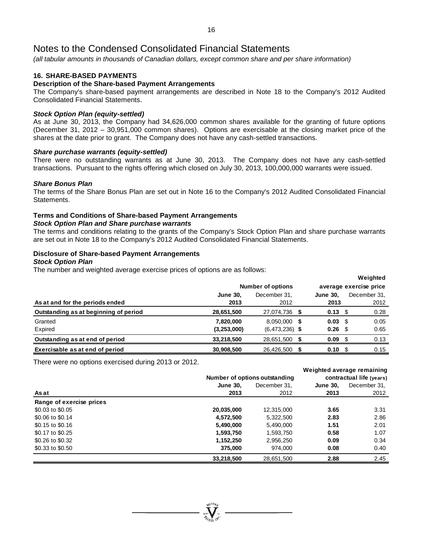*(all tabular amounts in thousands of Canadian dollars, except common share and per share information)*

# **16. SHARE-BASED PAYMENTS**

# **Description of the Share-based Payment Arrangements**

The Company's share-based payment arrangements are described in Note 18 to the Company's 2012 Audited Consolidated Financial Statements.

# *Stock Option Plan (equity-settled)*

As at June 30, 2013, the Company had 34,626,000 common shares available for the granting of future options (December 31, 2012 – 30,951,000 common shares). Options are exercisable at the closing market price of the shares at the date prior to grant. The Company does not have any cash-settled transactions.

#### *Share purchase warrants (equity-settled)*

There were no outstanding warrants as at June 30, 2013. The Company does not have any cash-settled transactions. Pursuant to the rights offering which closed on July 30, 2013, 100,000,000 warrants were issued.

#### *Share Bonus Plan*

The terms of the Share Bonus Plan are set out in Note 16 to the Company's 2012 Audited Consolidated Financial **Statements** 

# **Terms and Conditions of Share-based Payment Arrangements**

*Stock Option Plan and Share purchase warrants*

The terms and conditions relating to the grants of the Company's Stock Option Plan and share purchase warrants are set out in Note 18 to the Company's 2012 Audited Consolidated Financial Statements.

#### **Disclosure of Share-based Payment Arrangements**

#### *Stock Option Plan*

The number and weighted average exercise prices of options are as follows:

|                                       |                 |                          |                        |      | 1150         |  |  |
|---------------------------------------|-----------------|--------------------------|------------------------|------|--------------|--|--|
|                                       |                 | <b>Number of options</b> | average exercise price |      |              |  |  |
|                                       | <b>June 30.</b> | December 31.             | <b>June 30.</b>        |      | December 31. |  |  |
| As at and for the periods ended       | 2013            | 2012                     | 2013                   |      | 2012         |  |  |
| Outstanding as at beginning of period | 28,651,500      | 27,074,736 \$            | 0.13                   | - \$ | 0.28         |  |  |
| Granted                               | 7.820.000       | 8.050.000 \$             | 0.03                   | - \$ | 0.05         |  |  |
| Expired                               | (3, 253, 000)   | $(6,473,236)$ \$         | 0.26                   | - \$ | 0.65         |  |  |
| Outstanding as at end of period       | 33.218.500      | 28.651.500 \$            | 0.09                   | - \$ | 0.13         |  |  |
| Exercisable as at end of period       | 30,908,500      | 26.426.500 \$            | 0.10                   | - \$ | 0.15         |  |  |

**Weighted**

There were no options exercised during 2013 or 2012.

|                          |                 |                               |                 | Weighted average remaining |
|--------------------------|-----------------|-------------------------------|-----------------|----------------------------|
|                          |                 | Number of options outstanding |                 | contractual life (years)   |
|                          | <b>June 30.</b> | December 31.                  | <b>June 30.</b> | December 31.               |
| As at                    | 2013            | 2012                          | 2013            | 2012                       |
| Range of exercise prices |                 |                               |                 |                            |
| \$0.03 to \$0.05         | 20,035,000      | 12,315,000                    | 3.65            | 3.31                       |
| \$0.06 to \$0.14         | 4,572,500       | 5,322,500                     | 2.83            | 2.86                       |
| \$0.15 to \$0.16         | 5,490,000       | 5,490,000                     | 1.51            | 2.01                       |
| \$0.17 to \$0.25         | 1,593,750       | 1,593,750                     | 0.58            | 1.07                       |
| \$0.26 to \$0.32         | 1,152,250       | 2,956,250                     | 0.09            | 0.34                       |
| \$0.33 to \$0.50         | 375,000         | 974.000                       | 0.08            | 0.40                       |
|                          | 33,218,500      | 28,651,500                    | 2.88            | 2.45                       |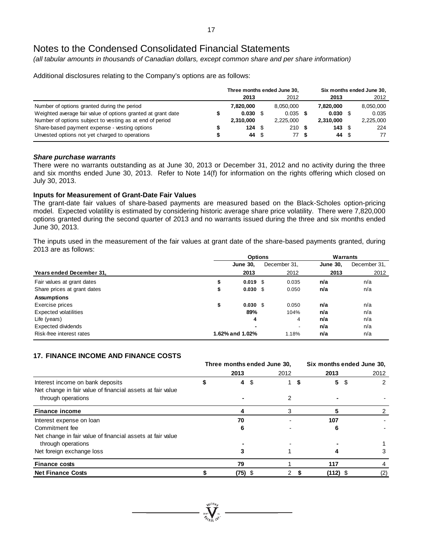*(all tabular amounts in thousands of Canadian dollars, except common share and per share information)*

Additional disclosures relating to the Company's options are as follows:

|                                                              | Three months ended June 30, |  |           |           |      | Six months ended June 30, |  |
|--------------------------------------------------------------|-----------------------------|--|-----------|-----------|------|---------------------------|--|
|                                                              | 2013                        |  | 2012      | 2013      |      | 2012                      |  |
| Number of options granted during the period                  | 7.820.000                   |  | 8.050.000 | 7.820.000 |      | 8,050,000                 |  |
| Weighted average fair value of options granted at grant date | 0.030                       |  | 0.035     | 0.030     |      | 0.035                     |  |
| Number of options subject to vesting as at end of period     | 2.310.000                   |  | 2.225.000 | 2.310.000 |      | 2,225,000                 |  |
| Share-based payment expense - vesting options                | 124                         |  | 210S      | 143       | - \$ | 224                       |  |
| Unvested options not yet charged to operations               | 44 \$                       |  | 77 \$     | 44        | - \$ | 77                        |  |

# *Share purchase warrants*

There were no warrants outstanding as at June 30, 2013 or December 31, 2012 and no activity during the three and six months ended June 30, 2013. Refer to Note 14(f) for information on the rights offering which closed on July 30, 2013.

# **Inputs for Measurement of Grant-Date Fair Values**

The grant-date fair values of share-based payments are measured based on the Black-Scholes option-pricing model. Expected volatility is estimated by considering historic average share price volatility. There were 7,820,000 options granted during the second quarter of 2013 and no warrants issued during the three and six months ended June 30, 2013.

The inputs used in the measurement of the fair values at grant date of the share-based payments granted, during 2013 are as follows:

|                              | <b>Options</b> |                     |  |              |                 | Warrants     |
|------------------------------|----------------|---------------------|--|--------------|-----------------|--------------|
|                              |                | <b>June 30,</b>     |  | December 31, | <b>June 30.</b> | December 31, |
| Years ended December 31,     |                | 2013                |  | 2012         | 2013            | 2012         |
| Fair values at grant dates   | \$             | $0.019$ \$          |  | 0.035        | n/a             | n/a          |
| Share prices at grant dates  | ⊅              | $0.030 \text{ }$ \$ |  | 0.050        | n/a             | n/a          |
| <b>Assumptions</b>           |                |                     |  |              |                 |              |
| Exercise prices              | \$             | 0.030 S             |  | 0.050        | n/a             | n/a          |
| <b>Expected volatilities</b> |                | 89%                 |  | 104%         | n/a             | n/a          |
| Life (years)                 |                | 4                   |  | 4            | n/a             | n/a          |
| Expected dividends           |                | $\blacksquare$      |  |              | n/a             | n/a          |
| Risk-free interest rates     |                | 1.62% and 1.02%     |  | 1.18%        | n/a             | n/a          |

# **17. FINANCE INCOME AND FINANCE COSTS**

|                                                            | Three months ended June 30, |         |   |      | Six months ended June 30, |            |     |      |  |
|------------------------------------------------------------|-----------------------------|---------|---|------|---------------------------|------------|-----|------|--|
|                                                            |                             | 2013    |   | 2012 |                           | 2013       |     | 2012 |  |
| Interest income on bank deposits                           |                             | 4       | S |      | S                         | 5          | -\$ | 2    |  |
| Net change in fair value of financial assets at fair value |                             |         |   |      |                           |            |     |      |  |
| through operations                                         |                             |         |   | 2    |                           |            |     |      |  |
| <b>Finance income</b>                                      |                             |         |   | 3    |                           |            |     |      |  |
| Interest expense on loan                                   |                             | 70      |   |      |                           | 107        |     |      |  |
| Commitment fee                                             |                             |         |   |      |                           |            |     |      |  |
| Net change in fair value of financial assets at fair value |                             |         |   |      |                           |            |     |      |  |
| through operations                                         |                             |         |   |      |                           |            |     |      |  |
| Net foreign exchange loss                                  |                             |         |   |      |                           |            |     |      |  |
| <b>Finance costs</b>                                       |                             | 79      |   |      |                           | 117        |     |      |  |
| <b>Net Finance Costs</b>                                   |                             | (75) \$ |   |      |                           | $(112)$ \$ |     | (2)  |  |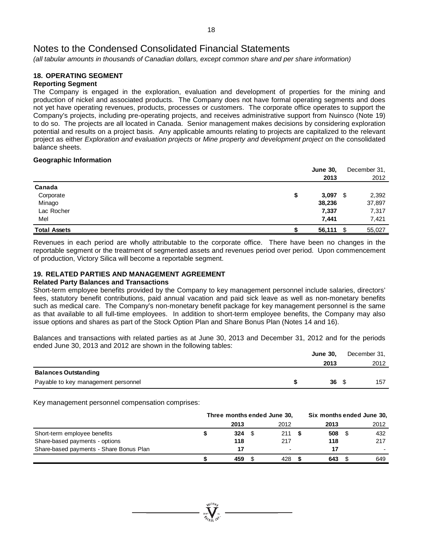*(all tabular amounts in thousands of Canadian dollars, except common share and per share information)*

#### **18. OPERATING SEGMENT Reporting Segment**

The Company is engaged in the exploration, evaluation and development of properties for the mining and production of nickel and associated products. The Company does not have formal operating segments and does not yet have operating revenues, products, processes or customers. The corporate office operates to support the Company's projects, including pre-operating projects, and receives administrative support from Nuinsco (Note 19) to do so. The projects are all located in Canada. Senior management makes decisions by considering exploration potential and results on a project basis. Any applicable amounts relating to projects are capitalized to the relevant project as either *Exploration and evaluation projects* or *Mine property and development project* on the consolidated balance sheets.

# **Geographic Information**

|                     | <b>June 30,</b> | December 31, |
|---------------------|-----------------|--------------|
|                     | 2013            | 2012         |
| Canada              |                 |              |
| Corporate           | 3,097<br>\$     | \$<br>2,392  |
| Minago              | 38,236          | 37,897       |
| Lac Rocher          | 7,337           | 7,317        |
| Mel                 | 7,441           | 7,421        |
| <b>Total Assets</b> | 56,111          | \$<br>55,027 |

Revenues in each period are wholly attributable to the corporate office. There have been no changes in the reportable segment or the treatment of segmented assets and revenues period over period. Upon commencement of production, Victory Silica will become a reportable segment.

# **19. RELATED PARTIES AND MANAGEMENT AGREEMENT**

# **Related Party Balances and Transactions**

Short-term employee benefits provided by the Company to key management personnel include salaries, directors' fees, statutory benefit contributions, paid annual vacation and paid sick leave as well as non-monetary benefits such as medical care. The Company's non-monetary benefit package for key management personnel is the same as that available to all full-time employees. In addition to short-term employee benefits, the Company may also issue options and shares as part of the Stock Option Plan and Share Bonus Plan (Notes 14 and 16).

Balances and transactions with related parties as at June 30, 2013 and December 31, 2012 and for the periods ended June 30, 2013 and 2012 are shown in the following tables:

|                                     | <b>June 30.</b> | December 31, |
|-------------------------------------|-----------------|--------------|
|                                     | 2013            | 2012         |
| <b>Balances Outstanding</b>         |                 |              |
| Payable to key management personnel | 36S             | 157          |

Key management personnel compensation comprises:

|                                         | Three months ended June 30, |      |  | Six months ended June 30, |  |      |  |      |
|-----------------------------------------|-----------------------------|------|--|---------------------------|--|------|--|------|
|                                         |                             | 2013 |  | 2012                      |  | 2013 |  | 2012 |
| Short-term employee benefits            |                             | 324  |  | 211                       |  | 508  |  | 432  |
| Share-based payments - options          |                             | 118  |  | 217                       |  | 118  |  | 217  |
| Share-based payments - Share Bonus Plan |                             | 17   |  |                           |  |      |  |      |
|                                         |                             | 459  |  | 428                       |  | 643  |  | 649  |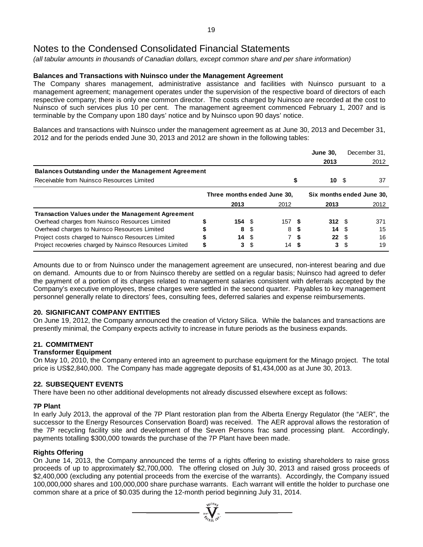*(all tabular amounts in thousands of Canadian dollars, except common share and per share information)*

# **Balances and Transactions with Nuinsco under the Management Agreement**

The Company shares management, administrative assistance and facilities with Nuinsco pursuant to a management agreement; management operates under the supervision of the respective board of directors of each respective company; there is only one common director. The costs charged by Nuinsco are recorded at the cost to Nuinsco of such services plus 10 per cent. The management agreement commenced February 1, 2007 and is terminable by the Company upon 180 days' notice and by Nuinsco upon 90 days' notice.

Balances and transactions with Nuinsco under the management agreement as at June 30, 2013 and December 31, 2012 and for the periods ended June 30, 2013 and 2012 are shown in the following tables:

|                                                            |   |      |      |                             | <b>June 30,</b> |      | December 31.              |
|------------------------------------------------------------|---|------|------|-----------------------------|-----------------|------|---------------------------|
|                                                            |   |      |      |                             | 2013            |      | 2012                      |
| <b>Balances Outstanding under the Management Agreement</b> |   |      |      |                             |                 |      |                           |
| Receivable from Nuinsco Resources Limited                  |   |      |      |                             | \$<br>10.       | - 56 | 37                        |
|                                                            |   |      |      | Three months ended June 30, |                 |      | Six months ended June 30, |
|                                                            |   | 2013 |      | 2012                        | 2013            |      | 2012                      |
| <b>Transaction Values under the Management Agreement</b>   |   |      |      |                             |                 |      |                           |
| Overhead charges from Nuinsco Resources Limited            |   | 154S |      | 157 S                       | 312 S           |      | 371                       |
| Overhead charges to Nuinsco Resources Limited              |   | 8    |      | 8                           | 14              |      | 15                        |
| Project costs charged to Nuinsco Resources Limited         |   | 14   | - \$ |                             | 22              | - \$ | 16                        |
| Project recoveries charged by Nuinsco Resources Limited    | S | 3    |      | 14                          | 3               |      | 19                        |

Amounts due to or from Nuinsco under the management agreement are unsecured, non-interest bearing and due on demand. Amounts due to or from Nuinsco thereby are settled on a regular basis; Nuinsco had agreed to defer the payment of a portion of its charges related to management salaries consistent with deferrals accepted by the Company's executive employees, these charges were settled in the second quarter. Payables to key management personnel generally relate to directors' fees, consulting fees, deferred salaries and expense reimbursements.

# **20. SIGNIFICANT COMPANY ENTITIES**

On June 19, 2012, the Company announced the creation of Victory Silica. While the balances and transactions are presently minimal, the Company expects activity to increase in future periods as the business expands.

# **21. COMMITMENT**

# **Transformer Equipment**

On May 10, 2010, the Company entered into an agreement to purchase equipment for the Minago project. The total price is US\$2,840,000. The Company has made aggregate deposits of \$1,434,000 as at June 30, 2013.

# **22. SUBSEQUENT EVENTS**

There have been no other additional developments not already discussed elsewhere except as follows:

# **7P Plant**

In early July 2013, the approval of the 7P Plant restoration plan from the Alberta Energy Regulator (the "AER", the successor to the Energy Resources Conservation Board) was received. The AER approval allows the restoration of the 7P recycling facility site and development of the Seven Persons frac sand processing plant. Accordingly, payments totalling \$300,000 towards the purchase of the 7P Plant have been made.

# **Rights Offering**

On June 14, 2013, the Company announced the terms of a rights offering to existing shareholders to raise gross proceeds of up to approximately \$2,700,000. The offering closed on July 30, 2013 and raised gross proceeds of \$2,400,000 (excluding any potential proceeds from the exercise of the warrants). Accordingly, the Company issued 100,000,000 shares and 100,000,000 share purchase warrants. Each warrant will entitle the holder to purchase one common share at a price of \$0.035 during the 12-month period beginning July 31, 2014.

 $\sum_{\alpha}$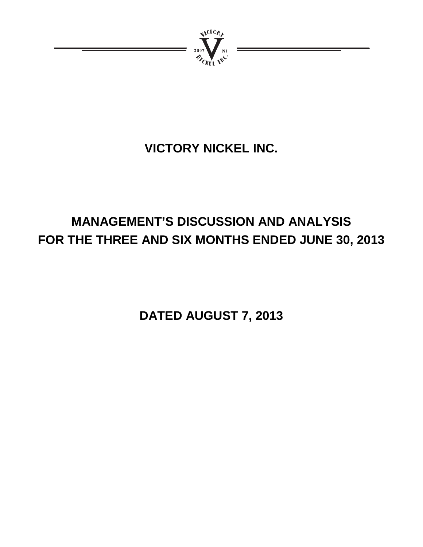

# **VICTORY NICKEL INC.**

# **MANAGEMENT'S DISCUSSION AND ANALYSIS FOR THE THREE AND SIX MONTHS ENDED JUNE 30, 2013**

**DATED AUGUST 7, 2013**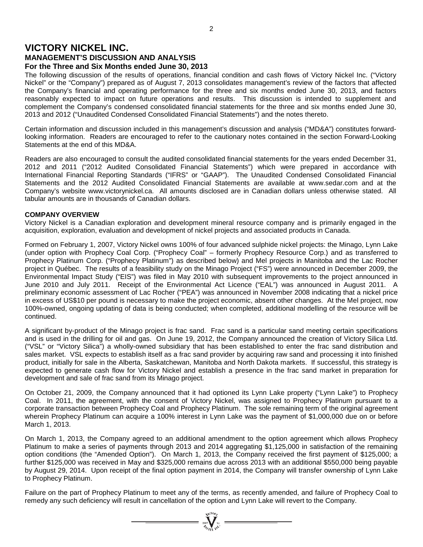# **VICTORY NICKEL INC. MANAGEMENT'S DISCUSSION AND ANALYSIS For the Three and Six Months ended June 30, 2013**

The following discussion of the results of operations, financial condition and cash flows of Victory Nickel Inc. ("Victory Nickel" or the "Company") prepared as of August 7, 2013 consolidates management's review of the factors that affected the Company's financial and operating performance for the three and six months ended June 30, 2013, and factors reasonably expected to impact on future operations and results. This discussion is intended to supplement and complement the Company's condensed consolidated financial statements for the three and six months ended June 30, 2013 and 2012 ("Unaudited Condensed Consolidated Financial Statements") and the notes thereto.

Certain information and discussion included in this management's discussion and analysis ("MD&A") constitutes forwardlooking information. Readers are encouraged to refer to the cautionary notes contained in the section Forward-Looking Statements at the end of this MD&A.

Readers are also encouraged to consult the audited consolidated financial statements for the years ended December 31, 2012 and 2011 ("2012 Audited Consolidated Financial Statements") which were prepared in accordance with International Financial Reporting Standards ("IFRS" or "GAAP"). The Unaudited Condensed Consolidated Financial Statements and the 2012 Audited Consolidated Financial Statements are available at www.sedar.com and at the Company's website www.victorynickel.ca. All amounts disclosed are in Canadian dollars unless otherwise stated. All tabular amounts are in thousands of Canadian dollars.

# **COMPANY OVERVIEW**

Victory Nickel is a Canadian exploration and development mineral resource company and is primarily engaged in the acquisition, exploration, evaluation and development of nickel projects and associated products in Canada.

Formed on February 1, 2007, Victory Nickel owns 100% of four advanced sulphide nickel projects: the Minago, Lynn Lake (under option with Prophecy Coal Corp. ("Prophecy Coal" – formerly Prophecy Resource Corp.) and as transferred to Prophecy Platinum Corp. ("Prophecy Platinum") as described below) and Mel projects in Manitoba and the Lac Rocher project in Québec. The results of a feasibility study on the Minago Project ("FS") were announced in December 2009, the Environmental Impact Study ("EIS") was filed in May 2010 with subsequent improvements to the project announced in June 2010 and July 2011. Receipt of the Environmental Act Licence ("EAL") was announced in August 2011. A preliminary economic assessment of Lac Rocher ("PEA") was announced in November 2008 indicating that a nickel price in excess of US\$10 per pound is necessary to make the project economic, absent other changes. At the Mel project, now 100%-owned, ongoing updating of data is being conducted; when completed, additional modelling of the resource will be continued.

A significant by-product of the Minago project is frac sand. Frac sand is a particular sand meeting certain specifications and is used in the drilling for oil and gas. On June 19, 2012, the Company announced the creation of Victory Silica Ltd. ("VSL" or "Victory Silica") a wholly-owned subsidiary that has been established to enter the frac sand distribution and sales market. VSL expects to establish itself as a frac sand provider by acquiring raw sand and processing it into finished product, initially for sale in the Alberta, Saskatchewan, Manitoba and North Dakota markets. If successful, this strategy is expected to generate cash flow for Victory Nickel and establish a presence in the frac sand market in preparation for development and sale of frac sand from its Minago project.

On October 21, 2009, the Company announced that it had optioned its Lynn Lake property ("Lynn Lake") to Prophecy Coal. In 2011, the agreement, with the consent of Victory Nickel, was assigned to Prophecy Platinum pursuant to a corporate transaction between Prophecy Coal and Prophecy Platinum. The sole remaining term of the original agreement wherein Prophecy Platinum can acquire a 100% interest in Lynn Lake was the payment of \$1,000,000 due on or before March 1, 2013.

On March 1, 2013, the Company agreed to an additional amendment to the option agreement which allows Prophecy Platinum to make a series of payments through 2013 and 2014 aggregating \$1,125,000 in satisfaction of the remaining option conditions (the "Amended Option"). On March 1, 2013, the Company received the first payment of \$125,000; a further \$125,000 was received in May and \$325,000 remains due across 2013 with an additional \$550,000 being payable by August 29, 2014. Upon receipt of the final option payment in 2014, the Company will transfer ownership of Lynn Lake to Prophecy Platinum.

Failure on the part of Prophecy Platinum to meet any of the terms, as recently amended, and failure of Prophecy Coal to remedy any such deficiency will result in cancellation of the option and Lynn Lake will revert to the Company.

 $\sum_{\alpha}^{N}$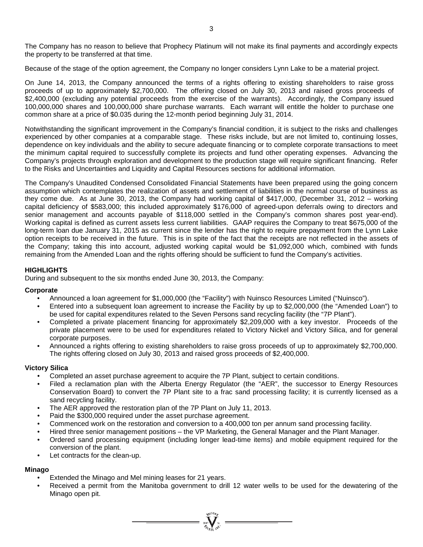The Company has no reason to believe that Prophecy Platinum will not make its final payments and accordingly expects the property to be transferred at that time.

Because of the stage of the option agreement, the Company no longer considers Lynn Lake to be a material project.

On June 14, 2013, the Company announced the terms of a rights offering to existing shareholders to raise gross proceeds of up to approximately \$2,700,000. The offering closed on July 30, 2013 and raised gross proceeds of \$2,400,000 (excluding any potential proceeds from the exercise of the warrants). Accordingly, the Company issued 100,000,000 shares and 100,000,000 share purchase warrants. Each warrant will entitle the holder to purchase one common share at a price of \$0.035 during the 12-month period beginning July 31, 2014.

Notwithstanding the significant improvement in the Company's financial condition, it is subject to the risks and challenges experienced by other companies at a comparable stage. These risks include, but are not limited to, continuing losses, dependence on key individuals and the ability to secure adequate financing or to complete corporate transactions to meet the minimum capital required to successfully complete its projects and fund other operating expenses. Advancing the Company's projects through exploration and development to the production stage will require significant financing. Refer to the Risks and Uncertainties and Liquidity and Capital Resources sections for additional information.

The Company's Unaudited Condensed Consolidated Financial Statements have been prepared using the going concern assumption which contemplates the realization of assets and settlement of liabilities in the normal course of business as they come due. As at June 30, 2013, the Company had working capital of \$417,000, (December 31, 2012 – working capital deficiency of \$583,000; this included approximately \$176,000 of agreed-upon deferrals owing to directors and senior management and accounts payable of \$118,000 settled in the Company's common shares post year-end). Working capital is defined as current assets less current liabilities. GAAP requires the Company to treat \$675,000 of the long-term loan due January 31, 2015 as current since the lender has the right to require prepayment from the Lynn Lake option receipts to be received in the future. This is in spite of the fact that the receipts are not reflected in the assets of the Company; taking this into account, adjusted working capital would be \$1,092,000 which, combined with funds remaining from the Amended Loan and the rights offering should be sufficient to fund the Company's activities.

# **HIGHLIGHTS**

During and subsequent to the six months ended June 30, 2013, the Company:

# **Corporate**

- Announced a loan agreement for \$1,000,000 (the "Facility") with Nuinsco Resources Limited ("Nuinsco").
- Entered into a subsequent loan agreement to increase the Facility by up to \$2,000,000 (the "Amended Loan") to be used for capital expenditures related to the Seven Persons sand recycling facility (the "7P Plant").
- Completed a private placement financing for approximately \$2,209,000 with a key investor. Proceeds of the private placement were to be used for expenditures related to Victory Nickel and Victory Silica, and for general corporate purposes.
- Announced a rights offering to existing shareholders to raise gross proceeds of up to approximately \$2,700,000. The rights offering closed on July 30, 2013 and raised gross proceeds of \$2,400,000.

# **Victory Silica**

- Completed an asset purchase agreement to acquire the 7P Plant, subject to certain conditions.
- Filed a reclamation plan with the Alberta Energy Regulator (the "AER", the successor to Energy Resources Conservation Board) to convert the 7P Plant site to a frac sand processing facility; it is currently licensed as a sand recycling facility.
- The AER approved the restoration plan of the 7P Plant on July 11, 2013.
- Paid the \$300,000 required under the asset purchase agreement.
- Commenced work on the restoration and conversion to a 400,000 ton per annum sand processing facility.
- Hired three senior management positions the VP Marketing, the General Manager and the Plant Manager.
- Ordered sand processing equipment (including longer lead-time items) and mobile equipment required for the conversion of the plant.
- Let contracts for the clean-up.

# **Minago**

- Extended the Minago and Mel mining leases for 21 years.
- Received a permit from the Manitoba government to drill 12 water wells to be used for the dewatering of the Minago open pit.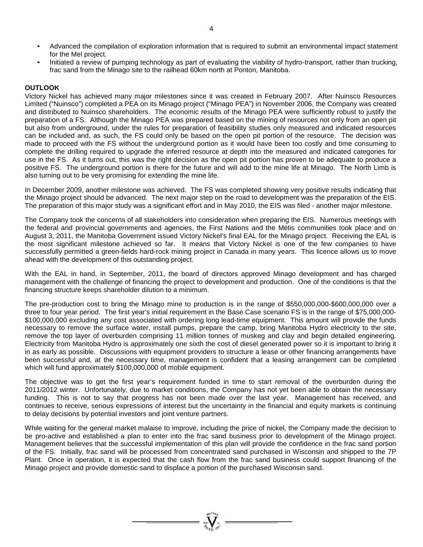- Advanced the compilation of exploration information that is required to submit an environmental impact statement for the Mel project.
- Initiated a review of pumping technology as part of evaluating the viability of hydro-transport, rather than trucking, frac sand from the Minago site to the railhead 60km north at Ponton, Manitoba.

# **OUTLOOK**

Victory Nickel has achieved many major milestones since it was created in February 2007. After Nuinsco Resources Limited ("Nuinsco") completed a PEA on its Minago project ("Minago PEA") in November 2006, the Company was created and distributed to Nuinsco shareholders. The economic results of the Minago PEA were sufficiently robust to justify the preparation of a FS. Although the Minago PEA was prepared based on the mining of resources not only from an open pit but also from underground, under the rules for preparation of feasibility studies only measured and indicated resources can be included and, as such, the FS could only be based on the open pit portion of the resource. The decision was made to proceed with the FS without the underground portion as it would have been too costly and time consuming to complete the drilling required to upgrade the inferred resource at depth into the measured and indicated categories for use in the FS. As it turns out, this was the right decision as the open pit portion has proven to be adequate to produce a positive FS. The underground portion is there for the future and will add to the mine life at Minago. The North Limb is also turning out to be very promising for extending the mine life.

In December 2009, another milestone was achieved. The FS was completed showing very positive results indicating that the Minago project should be advanced. The next major step on the road to development was the preparation of the EIS. The preparation of this major study was a significant effort and in May 2010, the EIS was filed - another major milestone.

The Company took the concerns of all stakeholders into consideration when preparing the EIS. Numerous meetings with the federal and provincial governments and agencies, the First Nations and the Métis communities took place and on August 3, 2011, the Manitoba Government issued Victory Nickel's final EAL for the Minago project. Receiving the EAL is the most significant milestone achieved so far. It means that Victory Nickel is one of the few companies to have successfully permitted a green-fields hard-rock mining project in Canada in many years. This licence allows us to move ahead with the development of this outstanding project.

With the EAL in hand, in September, 2011, the board of directors approved Minago development and has charged management with the challenge of financing the project to development and production. One of the conditions is that the financing structure keeps shareholder dilution to a minimum.

The pre-production cost to bring the Minago mine to production is in the range of \$550,000,000-\$600,000,000 over a three to four year period. The first year's initial requirement in the Base Case scenario FS is in the range of \$75,000,000- \$100,000,000 excluding any cost associated with ordering long lead-time equipment. This amount will provide the funds necessary to remove the surface water, install pumps, prepare the camp, bring Manitoba Hydro electricity to the site, remove the top layer of overburden comprising 11 million tonnes of muskeg and clay and begin detailed engineering. Electricity from Manitoba Hydro is approximately one sixth the cost of diesel generated power so it is important to bring it in as early as possible. Discussions with equipment providers to structure a lease or other financing arrangements have been successful and, at the necessary time, management is confident that a leasing arrangement can be completed which will fund approximately \$100,000,000 of mobile equipment.

The objective was to get the first year's requirement funded in time to start removal of the overburden during the 2011/2012 winter. Unfortunately, due to market conditions, the Company has not yet been able to obtain the necessary funding. This is not to say that progress has not been made over the last year. Management has received, and continues to receive, serious expressions of interest but the uncertainty in the financial and equity markets is continuing to delay decisions by potential investors and joint venture partners.

While waiting for the general market malaise to improve, including the price of nickel, the Company made the decision to be pro-active and established a plan to enter into the frac sand business prior to development of the Minago project. Management believes that the successful implementation of this plan will provide the confidence in the frac sand portion of the FS. Initially, frac sand will be processed from concentrated sand purchased in Wisconsin and shipped to the 7P Plant. Once in operation, it is expected that the cash flow from the frac sand business could support financing of the Minago project and provide domestic sand to displace a portion of the purchased Wisconsin sand.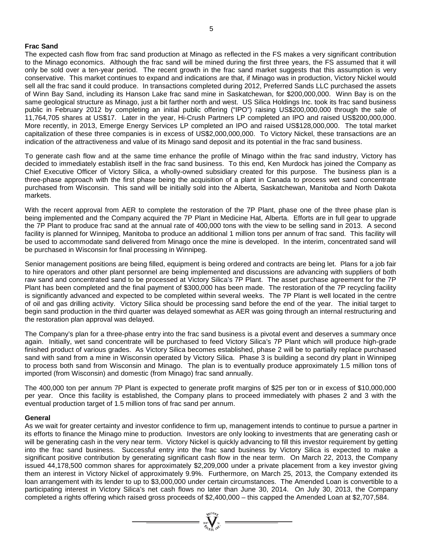# **Frac Sand**

The expected cash flow from frac sand production at Minago as reflected in the FS makes a very significant contribution to the Minago economics. Although the frac sand will be mined during the first three years, the FS assumed that it will only be sold over a ten-year period. The recent growth in the frac sand market suggests that this assumption is very conservative. This market continues to expand and indications are that, if Minago was in production, Victory Nickel would sell all the frac sand it could produce. In transactions completed during 2012, Preferred Sands LLC purchased the assets of Winn Bay Sand, including its Hanson Lake frac sand mine in Saskatchewan, for \$200,000,000. Winn Bay is on the same geological structure as Minago, just a bit farther north and west. US Silica Holdings Inc. took its frac sand business public in February 2012 by completing an initial public offering ("IPO") raising US\$200,000,000 through the sale of 11,764,705 shares at US\$17. Later in the year, Hi-Crush Partners LP completed an IPO and raised US\$200,000,000. More recently, in 2013, Emerge Energy Services LP completed an IPO and raised US\$128,000,000. The total market capitalization of these three companies is in excess of US\$2,000,000,000. To Victory Nickel, these transactions are an indication of the attractiveness and value of its Minago sand deposit and its potential in the frac sand business.

To generate cash flow and at the same time enhance the profile of Minago within the frac sand industry, Victory has decided to immediately establish itself in the frac sand business. To this end, Ken Murdock has joined the Company as Chief Executive Officer of Victory Silica, a wholly-owned subsidiary created for this purpose. The business plan is a three-phase approach with the first phase being the acquisition of a plant in Canada to process wet sand concentrate purchased from Wisconsin. This sand will be initially sold into the Alberta, Saskatchewan, Manitoba and North Dakota markets.

With the recent approval from AER to complete the restoration of the 7P Plant, phase one of the three phase plan is being implemented and the Company acquired the 7P Plant in Medicine Hat, Alberta. Efforts are in full gear to upgrade the 7P Plant to produce frac sand at the annual rate of 400,000 tons with the view to be selling sand in 2013. A second facility is planned for Winnipeg, Manitoba to produce an additional 1 million tons per annum of frac sand. This facility will be used to accommodate sand delivered from Minago once the mine is developed. In the interim, concentrated sand will be purchased in Wisconsin for final processing in Winnipeg.

Senior management positions are being filled, equipment is being ordered and contracts are being let. Plans for a job fair to hire operators and other plant personnel are being implemented and discussions are advancing with suppliers of both raw sand and concentrated sand to be processed at Victory Silica's 7P Plant. The asset purchase agreement for the 7P Plant has been completed and the final payment of \$300,000 has been made. The restoration of the 7P recycling facility is significantly advanced and expected to be completed within several weeks. The 7P Plant is well located in the centre of oil and gas drilling activity. Victory Silica should be processing sand before the end of the year. The initial target to begin sand production in the third quarter was delayed somewhat as AER was going through an internal restructuring and the restoration plan approval was delayed.

The Company's plan for a three-phase entry into the frac sand business is a pivotal event and deserves a summary once again. Initially, wet sand concentrate will be purchased to feed Victory Silica's 7P Plant which will produce high-grade finished product of various grades. As Victory Silica becomes established, phase 2 will be to partially replace purchased sand with sand from a mine in Wisconsin operated by Victory Silica. Phase 3 is building a second dry plant in Winnipeg to process both sand from Wisconsin and Minago. The plan is to eventually produce approximately 1.5 million tons of imported (from Wisconsin) and domestic (from Minago) frac sand annually.

The 400,000 ton per annum 7P Plant is expected to generate profit margins of \$25 per ton or in excess of \$10,000,000 per year. Once this facility is established, the Company plans to proceed immediately with phases 2 and 3 with the eventual production target of 1.5 million tons of frac sand per annum.

# **General**

As we wait for greater certainty and investor confidence to firm up, management intends to continue to pursue a partner in its efforts to finance the Minago mine to production. Investors are only looking to investments that are generating cash or will be generating cash in the very near term. Victory Nickel is quickly advancing to fill this investor requirement by getting into the frac sand business. Successful entry into the frac sand business by Victory Silica is expected to make a significant positive contribution by generating significant cash flow in the near term. On March 22, 2013, the Company issued 44,178,500 common shares for approximately \$2,209,000 under a private placement from a key investor giving them an interest in Victory Nickel of approximately 9.9%. Furthermore, on March 25, 2013, the Company extended its loan arrangement with its lender to up to \$3,000,000 under certain circumstances. The Amended Loan is convertible to a participating interest in Victory Silica's net cash flows no later than June 30, 2014. On July 30, 2013, the Company completed a rights offering which raised gross proceeds of \$2,400,000 – this capped the Amended Loan at \$2,707,584.

=  $\sum_{i=1}^{N} \sum_{j=1}^{N}$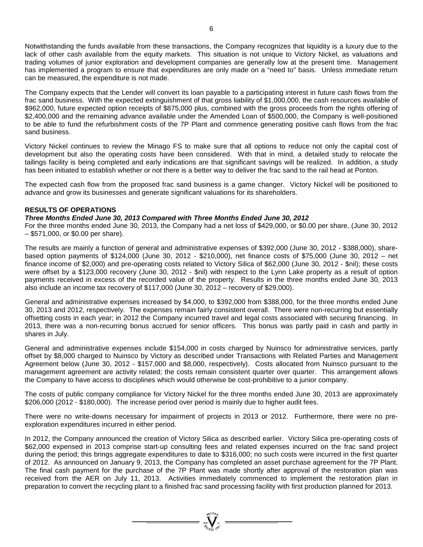Notwithstanding the funds available from these transactions, the Company recognizes that liquidity is a luxury due to the lack of other cash available from the equity markets. This situation is not unique to Victory Nickel, as valuations and trading volumes of junior exploration and development companies are generally low at the present time. Management has implemented a program to ensure that expenditures are only made on a "need to" basis. Unless immediate return can be measured, the expenditure is not made.

The Company expects that the Lender will convert its loan payable to a participating interest in future cash flows from the frac sand business. With the expected extinguishment of that gross liability of \$1,000,000, the cash resources available of \$962,000, future expected option receipts of \$875,000 plus, combined with the gross proceeds from the rights offering of \$2,400,000 and the remaining advance available under the Amended Loan of \$500,000, the Company is well-positioned to be able to fund the refurbishment costs of the 7P Plant and commence generating positive cash flows from the frac sand business.

Victory Nickel continues to review the Minago FS to make sure that all options to reduce not only the capital cost of development but also the operating costs have been considered. With that in mind, a detailed study to relocate the tailings facility is being completed and early indications are that significant savings will be realized. In addition, a study has been initiated to establish whether or not there is a better way to deliver the frac sand to the rail head at Ponton.

The expected cash flow from the proposed frac sand business is a game changer. Victory Nickel will be positioned to advance and grow its businesses and generate significant valuations for its shareholders.

# **RESULTS OF OPERATIONS**

*Three Months Ended June 30, 2013 Compared with Three Months Ended June 30, 2012*

For the three months ended June 30, 2013, the Company had a net loss of \$429,000, or \$0.00 per share, (June 30, 2012 – \$571,000, or \$0.00 per share).

The results are mainly a function of general and administrative expenses of \$392,000 (June 30, 2012 - \$388,000), sharebased option payments of \$124,000 (June 30, 2012 - \$210,000), net finance costs of \$75,000 (June 30, 2012 – net finance income of \$2,000) and pre-operating costs related to Victory Silica of \$62,000 (June 30, 2012 - \$nil); these costs were offset by a \$123,000 recovery (June 30, 2012 - \$nil) with respect to the Lynn Lake property as a result of option payments received in excess of the recorded value of the property. Results in the three months ended June 30, 2013 also include an income tax recovery of \$117,000 (June 30, 2012 – recovery of \$29,000).

General and administrative expenses increased by \$4,000, to \$392,000 from \$388,000, for the three months ended June 30, 2013 and 2012, respectively. The expenses remain fairly consistent overall. There were non-recurring but essentially offsetting costs in each year; in 2012 the Company incurred travel and legal costs associated with securing financing. In 2013, there was a non-recurring bonus accrued for senior officers. This bonus was partly paid in cash and partly in shares in July.

General and administrative expenses include \$154,000 in costs charged by Nuinsco for administrative services, partly offset by \$8,000 charged to Nuinsco by Victory as described under Transactions with Related Parties and Management Agreement below (June 30, 2012 - \$157,000 and \$8,000, respectively). Costs allocated from Nuinsco pursuant to the management agreement are activity related; the costs remain consistent quarter over quarter. This arrangement allows the Company to have access to disciplines which would otherwise be cost-prohibitive to a junior company.

The costs of public company compliance for Victory Nickel for the three months ended June 30, 2013 are approximately \$206,000 (2012 - \$180,000). The increase period over period is mainly due to higher audit fees.

There were no write-downs necessary for impairment of projects in 2013 or 2012. Furthermore, there were no preexploration expenditures incurred in either period.

In 2012, the Company announced the creation of Victory Silica as described earlier. Victory Silica pre-operating costs of \$62,000 expensed in 2013 comprise start-up consulting fees and related expenses incurred on the frac sand project during the period; this brings aggregate expenditures to date to \$316,000; no such costs were incurred in the first quarter of 2012. As announced on January 9, 2013, the Company has completed an asset purchase agreement for the 7P Plant. The final cash payment for the purchase of the 7P Plant was made shortly after approval of the restoration plan was received from the AER on July 11, 2013. Activities immediately commenced to implement the restoration plan in preparation to convert the recycling plant to a finished frac sand processing facility with first production planned for 2013.

=  $\sum_{i=1}^{N}$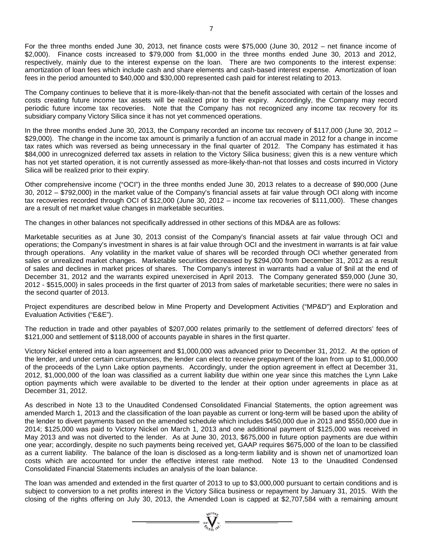For the three months ended June 30, 2013, net finance costs were \$75,000 (June 30, 2012 – net finance income of \$2,000). Finance costs increased to \$79,000 from \$1,000 in the three months ended June 30, 2013 and 2012, respectively, mainly due to the interest expense on the loan. There are two components to the interest expense: amortization of loan fees which include cash and share elements and cash-based interest expense. Amortization of loan fees in the period amounted to \$40,000 and \$30,000 represented cash paid for interest relating to 2013.

The Company continues to believe that it is more-likely-than-not that the benefit associated with certain of the losses and costs creating future income tax assets will be realized prior to their expiry. Accordingly, the Company may record periodic future income tax recoveries. Note that the Company has not recognized any income tax recovery for its subsidiary company Victory Silica since it has not yet commenced operations.

In the three months ended June 30, 2013, the Company recorded an income tax recovery of \$117,000 (June 30, 2012 – \$29,000). The change in the income tax amount is primarily a function of an accrual made in 2012 for a change in income tax rates which was reversed as being unnecessary in the final quarter of 2012. The Company has estimated it has \$84,000 in unrecognized deferred tax assets in relation to the Victory Silica business; given this is a new venture which has not yet started operation, it is not currently assessed as more-likely-than-not that losses and costs incurred in Victory Silica will be realized prior to their expiry.

Other comprehensive income ("OCI") in the three months ended June 30, 2013 relates to a decrease of \$90,000 (June 30, 2012 – \$792,000) in the market value of the Company's financial assets at fair value through OCI along with income tax recoveries recorded through OCI of \$12,000 (June 30, 2012 – income tax recoveries of \$111,000). These changes are a result of net market value changes in marketable securities.

The changes in other balances not specifically addressed in other sections of this MD&A are as follows:

Marketable securities as at June 30, 2013 consist of the Company's financial assets at fair value through OCI and operations; the Company's investment in shares is at fair value through OCI and the investment in warrants is at fair value through operations. Any volatility in the market value of shares will be recorded through OCI whether generated from sales or unrealized market changes. Marketable securities decreased by \$294,000 from December 31, 2012 as a result of sales and declines in market prices of shares. The Company's interest in warrants had a value of \$nil at the end of December 31, 2012 and the warrants expired unexercised in April 2013. The Company generated \$59,000 (June 30, 2012 - \$515,000) in sales proceeds in the first quarter of 2013 from sales of marketable securities; there were no sales in the second quarter of 2013.

Project expenditures are described below in Mine Property and Development Activities ("MP&D") and Exploration and Evaluation Activities ("E&E").

The reduction in trade and other payables of \$207,000 relates primarily to the settlement of deferred directors' fees of \$121,000 and settlement of \$118,000 of accounts payable in shares in the first quarter.

Victory Nickel entered into a loan agreement and \$1,000,000 was advanced prior to December 31, 2012. At the option of the lender, and under certain circumstances, the lender can elect to receive prepayment of the loan from up to \$1,000,000 of the proceeds of the Lynn Lake option payments. Accordingly, under the option agreement in effect at December 31, 2012, \$1,000,000 of the loan was classified as a current liability due within one year since this matches the Lynn Lake option payments which were available to be diverted to the lender at their option under agreements in place as at December 31, 2012.

As described in Note 13 to the Unaudited Condensed Consolidated Financial Statements, the option agreement was amended March 1, 2013 and the classification of the loan payable as current or long-term will be based upon the ability of the lender to divert payments based on the amended schedule which includes \$450,000 due in 2013 and \$550,000 due in 2014; \$125,000 was paid to Victory Nickel on March 1, 2013 and one additional payment of \$125,000 was received in May 2013 and was not diverted to the lender. As at June 30, 2013, \$675,000 in future option payments are due within one year; accordingly, despite no such payments being received yet, GAAP requires \$675,000 of the loan to be classified as a current liability. The balance of the loan is disclosed as a long-term liability and is shown net of unamortized loan costs which are accounted for under the effective interest rate method. Note 13 to the Unaudited Condensed Consolidated Financial Statements includes an analysis of the loan balance.

The loan was amended and extended in the first quarter of 2013 to up to \$3,000,000 pursuant to certain conditions and is subject to conversion to a net profits interest in the Victory Silica business or repayment by January 31, 2015. With the closing of the rights offering on July 30, 2013, the Amended Loan is capped at \$2,707,584 with a remaining amount

 $=\sum_{\substack{100^7\text{VCTs/}\\\text{of } \text{VCTs/}\\\text{VCTs/}\\\text{VCTs/}\\\text{VCTs/}\\\text{VCTs/}\\\text{VCTs/}\\\text{VCTs/}\\\text{VCTs/}\\\text{VCTs/}\\\text{VCTs/}\\\text{VCTs/}\\\text{VCTs/}\\\text{VCTs/}\\\text{VCTs/}\\\text{VCTs/}\\\text{VCTs/}\\\text{VCTs/}\\\text{VCTs/}\\\text{VCTs/}\\\text{VCTs/}\\\text{VCTs/}\\\text{VCTs/}\\\text{VCTs/}\\\text{VCTs/}\\\text{$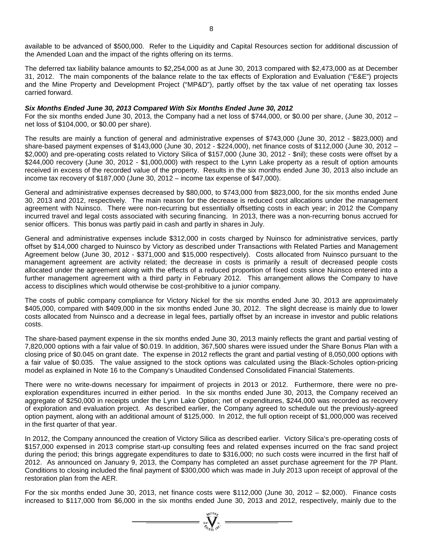available to be advanced of \$500,000. Refer to the Liquidity and Capital Resources section for additional discussion of the Amended Loan and the impact of the rights offering on its terms.

The deferred tax liability balance amounts to \$2,254,000 as at June 30, 2013 compared with \$2,473,000 as at December 31, 2012. The main components of the balance relate to the tax effects of Exploration and Evaluation ("E&E") projects and the Mine Property and Development Project ("MP&D"), partly offset by the tax value of net operating tax losses carried forward.

#### *Six Months Ended June 30, 2013 Compared With Six Months Ended June 30, 2012*

For the six months ended June 30, 2013, the Company had a net loss of \$744,000, or \$0.00 per share, (June 30, 2012 – net loss of \$104,000, or \$0.00 per share).

The results are mainly a function of general and administrative expenses of \$743,000 (June 30, 2012 - \$823,000) and share-based payment expenses of \$143,000 (June 30, 2012 - \$224,000), net finance costs of \$112,000 (June 30, 2012 – \$2,000) and pre-operating costs related to Victory Silica of \$157,000 (June 30, 2012 - \$nil); these costs were offset by a \$244,000 recovery (June 30, 2012 - \$1,000,000) with respect to the Lynn Lake property as a result of option amounts received in excess of the recorded value of the property. Results in the six months ended June 30, 2013 also include an income tax recovery of \$187,000 (June 30, 2012 – income tax expense of \$47,000).

General and administrative expenses decreased by \$80,000, to \$743,000 from \$823,000, for the six months ended June 30, 2013 and 2012, respectively. The main reason for the decrease is reduced cost allocations under the management agreement with Nuinsco. There were non-recurring but essentially offsetting costs in each year; in 2012 the Company incurred travel and legal costs associated with securing financing. In 2013, there was a non-recurring bonus accrued for senior officers. This bonus was partly paid in cash and partly in shares in July.

General and administrative expenses include \$312,000 in costs charged by Nuinsco for administrative services, partly offset by \$14,000 charged to Nuinsco by Victory as described under Transactions with Related Parties and Management Agreement below (June 30, 2012 - \$371,000 and \$15,000 respectively). Costs allocated from Nuinsco pursuant to the management agreement are activity related; the decrease in costs is primarily a result of decreased people costs allocated under the agreement along with the effects of a reduced proportion of fixed costs since Nuinsco entered into a further management agreement with a third party in February 2012. This arrangement allows the Company to have access to disciplines which would otherwise be cost-prohibitive to a junior company.

The costs of public company compliance for Victory Nickel for the six months ended June 30, 2013 are approximately \$405,000, compared with \$409,000 in the six months ended June 30, 2012. The slight decrease is mainly due to lower costs allocated from Nuinsco and a decrease in legal fees, partially offset by an increase in investor and public relations costs.

The share-based payment expense in the six months ended June 30, 2013 mainly reflects the grant and partial vesting of 7,820,000 options with a fair value of \$0.019. In addition, 367,500 shares were issued under the Share Bonus Plan with a closing price of \$0.045 on grant date. The expense in 2012 reflects the grant and partial vesting of 8,050,000 options with a fair value of \$0.035. The value assigned to the stock options was calculated using the Black-Scholes option-pricing model as explained in Note 16 to the Company's Unaudited Condensed Consolidated Financial Statements.

There were no write-downs necessary for impairment of projects in 2013 or 2012. Furthermore, there were no preexploration expenditures incurred in either period. In the six months ended June 30, 2013, the Company received an aggregate of \$250,000 in receipts under the Lynn Lake Option; net of expenditures, \$244,000 was recorded as recovery of exploration and evaluation project. As described earlier, the Company agreed to schedule out the previously-agreed option payment, along with an additional amount of \$125,000. In 2012, the full option receipt of \$1,000,000 was received in the first quarter of that year.

In 2012, the Company announced the creation of Victory Silica as described earlier. Victory Silica's pre-operating costs of \$157,000 expensed in 2013 comprise start-up consulting fees and related expenses incurred on the frac sand project during the period; this brings aggregate expenditures to date to \$316,000; no such costs were incurred in the first half of 2012. As announced on January 9, 2013, the Company has completed an asset purchase agreement for the 7P Plant. Conditions to closing included the final payment of \$300,000 which was made in July 2013 upon receipt of approval of the restoration plan from the AER.

For the six months ended June 30, 2013, net finance costs were \$112,000 (June 30, 2012 – \$2,000). Finance costs increased to \$117,000 from \$6,000 in the six months ended June 30, 2013 and 2012, respectively, mainly due to the

 $= \sum_{\alpha \in \mathcal{N}_{\mathcal{O}_{\mathcal{U}}\backslash \mathcal{V}}^{N}}^{\mathcal{N}_{\mathcal{O}_{\mathcal{U}}\backslash \mathcal{V}}}=$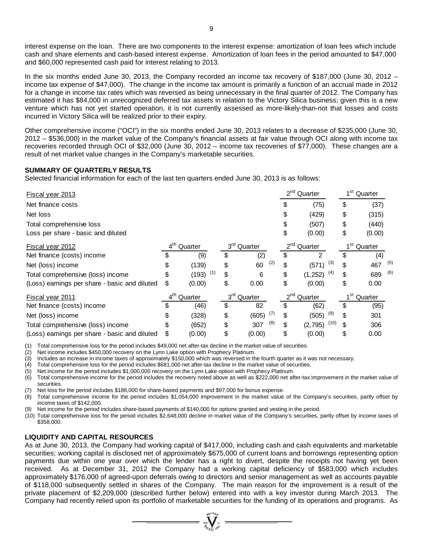interest expense on the loan. There are two components to the interest expense: amortization of loan fees which include cash and share elements and cash-based interest expense. Amortization of loan fees in the period amounted to \$47,000 and \$60,000 represented cash paid for interest relating to 2013.

In the six months ended June 30, 2013, the Company recorded an income tax recovery of \$187,000 (June 30, 2012 – income tax expense of \$47,000). The change in the income tax amount is primarily a function of an accrual made in 2012 for a change in income tax rates which was reversed as being unnecessary in the final quarter of 2012. The Company has estimated it has \$84,000 in unrecognized deferred tax assets in relation to the Victory Silica business; given this is a new venture which has not yet started operation, it is not currently assessed as more-likely-than-not that losses and costs incurred in Victory Silica will be realized prior to their expiry.

Other comprehensive income ("OCI") in the six months ended June 30, 2013 relates to a decrease of \$235,000 (June 30, 2012 – \$536,000) in the market value of the Company's financial assets at fair value through OCI along with income tax recoveries recorded through OCI of \$32,000 (June 30, 2012 – income tax recoveries of \$77,000). These changes are a result of net market value changes in the Company's marketable securities.

# **SUMMARY OF QUARTERLY RESULTS**

Selected financial information for each of the last ten quarters ended June 30, 2013 is as follows:

| <b>Fiscal year 2013</b>                       |                 |                        |                         |     | $2^{nd}$<br>Quarter |               |      | 1 <sup>st</sup> Quarter |                         |     |
|-----------------------------------------------|-----------------|------------------------|-------------------------|-----|---------------------|---------------|------|-------------------------|-------------------------|-----|
| Net finance costs                             |                 |                        |                         |     | \$                  | (75)          |      | \$                      | (37)                    |     |
| Net loss                                      |                 |                        |                         |     | \$                  | (429)         |      | \$                      | (315)                   |     |
| Total comprehensive loss                      |                 |                        |                         |     | \$                  | (507)         |      | \$                      | (440)                   |     |
| Loss per share - basic and diluted            |                 |                        |                         |     | \$                  | (0.00)        |      | \$                      | (0.00)                  |     |
| Fiscal year 2012                              | $4^{\text{th}}$ | Quarter                | 3 <sup>rd</sup> Quarter |     | $2^{nd}$            | Quarter       |      | 1 <sup>st</sup>         | Quarter                 |     |
| Net finance (costs) income                    |                 | (9)                    | \$<br>(2)               |     | \$                  | 2             |      | \$                      | (4)                     |     |
| Net (loss) income                             | \$              | (139)                  | \$<br>60                | (2) | \$                  | (571)         | (3)  | S                       | 467                     | (5) |
| Total comprehensive (loss) income             | \$              | $(193)$ <sup>(1)</sup> | \$<br>6                 |     | \$                  | (1, 252)      | (4)  | \$                      | 689                     | (6) |
| (Loss) earnings per share - basic and diluted | \$              | (0.00)                 | \$<br>0.00              |     | \$                  | (0.00)        |      | \$                      | 0.00                    |     |
| <b>Fiscal year 2011</b>                       | $4^{\text{th}}$ | Quarter                | 3 <sup>rd</sup> Quarter |     |                     | $2nd$ Quarter |      |                         | 1 <sup>st</sup> Quarter |     |
| Net finance (costs) income                    | \$              | (46)                   | \$<br>82                |     | \$                  | (62)          |      | \$                      | (95)                    |     |
| Net (loss) income                             | \$              | (328)                  | \$<br>(605)             | (7) | \$                  | (505)         | (9)  | \$                      | 301                     |     |
| Total comprehensive (loss) income             | \$              | (652)                  | \$<br>307               | (8) | \$                  | (2,795)       | (10) | \$                      | 306                     |     |
| (Loss) earnings per share - basic and diluted | \$              | (0.00)                 | \$<br>(0.00)            |     | \$                  | (0.00)        |      | \$                      | 0.00                    |     |

(1) Total comprehensive loss for the period includes \$49,000 net after-tax decline in the market value of securities.

(2) Net income includes \$450,000 recovery on the Lynn Lake option with Prophecy Platinum.

(3) Includes an increase in income taxes of approximately \$150,000 which was reversed in the fourth quarter as it was not necessary.<br>(4) Total comprehensive loss for the period includes \$681,000 net after-tax decline in th

Total comprehensive loss for the period includes \$681,000 net after-tax decline in the market value of securities.

(5) Net income for the period includes \$1,000,000 recovery on the Lynn Lake option with Prophecy Platinum.

(6) Total comprehensive income for the period includes the recovery noted above as well as \$222,000 net after-tax improvement in the market value of securities.

(7) Net loss for the period includes \$186,000 for share-based payments and \$97,000 for bonus expense.

(8) Total comprehensive income for the period includes \$1,054,000 improvement in the market value of the Company's securities, partly offset by income taxes of \$142,000.

Net income for the period includes share-based payments of \$140,000 for options granted and vesting in the period.

(10) Total comprehensive loss for the period includes \$2,648,000 decline in market value of the Company's securities, partly offset by income taxes of \$358,000.

#### **LIQUIDITY AND CAPITAL RESOURCES**

As at June 30, 2013, the Company had working capital of \$417,000, including cash and cash equivalents and marketable securities; working capital is disclosed net of approximately \$675,000 of current loans and borrowings representing option payments due within one year over which the lender has a right to divert, despite the receipts not having yet been received. As at December 31, 2012 the Company had a working capital deficiency of \$583,000 which includes approximately \$176,000 of agreed-upon deferrals owing to directors and senior management as well as accounts payable of \$118,000 subsequently settled in shares of the Company. The main reason for the improvement is a result of the private placement of \$2,209,000 (described further below) entered into with a key investor during March 2013. The Company had recently relied upon its portfolio of marketable securities for the funding of its operations and programs. As

=  $\sum_{300}^{\infty} \frac{1}{10^{11}}$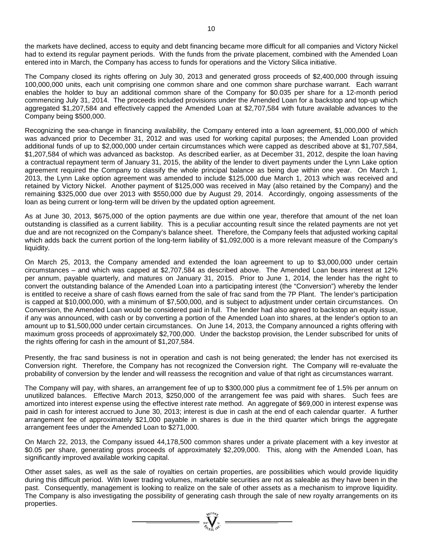the markets have declined, access to equity and debt financing became more difficult for all companies and Victory Nickel had to extend its regular payment periods. With the funds from the private placement, combined with the Amended Loan entered into in March, the Company has access to funds for operations and the Victory Silica initiative.

The Company closed its rights offering on July 30, 2013 and generated gross proceeds of \$2,400,000 through issuing 100,000,000 units, each unit comprising one common share and one common share purchase warrant. Each warrant enables the holder to buy an additional common share of the Company for \$0.035 per share for a 12-month period commencing July 31, 2014. The proceeds included provisions under the Amended Loan for a backstop and top-up which aggregated \$1,207,584 and effectively capped the Amended Loan at \$2,707,584 with future available advances to the Company being \$500,000.

Recognizing the sea-change in financing availability, the Company entered into a loan agreement, \$1,000,000 of which was advanced prior to December 31, 2012 and was used for working capital purposes; the Amended Loan provided additional funds of up to \$2,000,000 under certain circumstances which were capped as described above at \$1,707,584, \$1,207,584 of which was advanced as backstop. As described earlier, as at December 31, 2012, despite the loan having a contractual repayment term of January 31, 2015, the ability of the lender to divert payments under the Lynn Lake option agreement required the Company to classify the whole principal balance as being due within one year. On March 1, 2013, the Lynn Lake option agreement was amended to include \$125,000 due March 1, 2013 which was received and retained by Victory Nickel. Another payment of \$125,000 was received in May (also retained by the Company) and the remaining \$325,000 due over 2013 with \$550,000 due by August 29, 2014. Accordingly, ongoing assessments of the loan as being current or long-term will be driven by the updated option agreement.

As at June 30, 2013, \$675,000 of the option payments are due within one year, therefore that amount of the net loan outstanding is classified as a current liability. This is a peculiar accounting result since the related payments are not yet due and are not recognized on the Company's balance sheet. Therefore, the Company feels that adjusted working capital which adds back the current portion of the long-term liability of \$1,092,000 is a more relevant measure of the Company's liquidity.

On March 25, 2013, the Company amended and extended the loan agreement to up to \$3,000,000 under certain circumstances – and which was capped at \$2,707,584 as described above. The Amended Loan bears interest at 12% per annum, payable quarterly, and matures on January 31, 2015. Prior to June 1, 2014, the lender has the right to convert the outstanding balance of the Amended Loan into a participating interest (the "Conversion") whereby the lender is entitled to receive a share of cash flows earned from the sale of frac sand from the 7P Plant. The lender's participation is capped at \$10,000,000, with a minimum of \$7,500,000, and is subject to adjustment under certain circumstances. On Conversion, the Amended Loan would be considered paid in full. The lender had also agreed to backstop an equity issue, if any was announced, with cash or by converting a portion of the Amended Loan into shares, at the lender's option to an amount up to \$1,500,000 under certain circumstances. On June 14, 2013, the Company announced a rights offering with maximum gross proceeds of approximately \$2,700,000. Under the backstop provision, the Lender subscribed for units of the rights offering for cash in the amount of \$1,207,584.

Presently, the frac sand business is not in operation and cash is not being generated; the lender has not exercised its Conversion right. Therefore, the Company has not recognized the Conversion right. The Company will re-evaluate the probability of conversion by the lender and will reassess the recognition and value of that right as circumstances warrant.

The Company will pay, with shares, an arrangement fee of up to \$300,000 plus a commitment fee of 1.5% per annum on unutilized balances. Effective March 2013, \$250,000 of the arrangement fee was paid with shares. Such fees are amortized into interest expense using the effective interest rate method. An aggregate of \$69,000 in interest expense was paid in cash for interest accrued to June 30, 2013; interest is due in cash at the end of each calendar quarter. A further arrangement fee of approximately \$21,000 payable in shares is due in the third quarter which brings the aggregate arrangement fees under the Amended Loan to \$271,000.

On March 22, 2013, the Company issued 44,178,500 common shares under a private placement with a key investor at \$0.05 per share, generating gross proceeds of approximately \$2,209,000. This, along with the Amended Loan, has significantly improved available working capital.

Other asset sales, as well as the sale of royalties on certain properties, are possibilities which would provide liquidity during this difficult period. With lower trading volumes, marketable securities are not as saleable as they have been in the past. Consequently, management is looking to realize on the sale of other assets as a mechanism to improve liquidity. The Company is also investigating the possibility of generating cash through the sale of new royalty arrangements on its properties.

=  $\sum_{i=1}^{N}$   $\sum_{j=1}^{N}$  =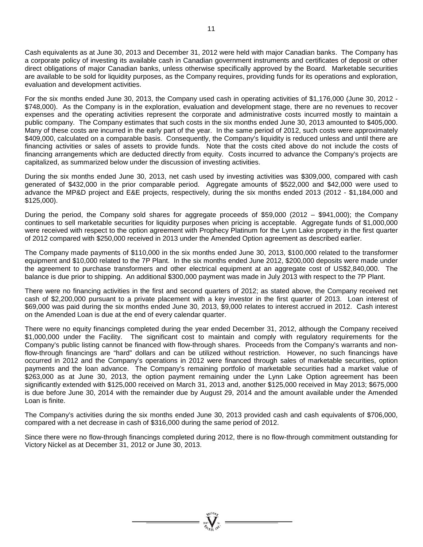Cash equivalents as at June 30, 2013 and December 31, 2012 were held with major Canadian banks. The Company has a corporate policy of investing its available cash in Canadian government instruments and certificates of deposit or other direct obligations of major Canadian banks, unless otherwise specifically approved by the Board. Marketable securities are available to be sold for liquidity purposes, as the Company requires, providing funds for its operations and exploration, evaluation and development activities.

For the six months ended June 30, 2013, the Company used cash in operating activities of \$1,176,000 (June 30, 2012 - \$748,000). As the Company is in the exploration, evaluation and development stage, there are no revenues to recover expenses and the operating activities represent the corporate and administrative costs incurred mostly to maintain a public company. The Company estimates that such costs in the six months ended June 30, 2013 amounted to \$405,000. Many of these costs are incurred in the early part of the year. In the same period of 2012, such costs were approximately \$409,000, calculated on a comparable basis. Consequently, the Company's liquidity is reduced unless and until there are financing activities or sales of assets to provide funds. Note that the costs cited above do not include the costs of financing arrangements which are deducted directly from equity. Costs incurred to advance the Company's projects are capitalized, as summarized below under the discussion of investing activities.

During the six months ended June 30, 2013, net cash used by investing activities was \$309,000, compared with cash generated of \$432,000 in the prior comparable period. Aggregate amounts of \$522,000 and \$42,000 were used to advance the MP&D project and E&E projects, respectively, during the six months ended 2013 (2012 - \$1,184,000 and \$125,000).

During the period, the Company sold shares for aggregate proceeds of \$59,000 (2012 – \$941,000); the Company continues to sell marketable securities for liquidity purposes when pricing is acceptable. Aggregate funds of \$1,000,000 were received with respect to the option agreement with Prophecy Platinum for the Lynn Lake property in the first quarter of 2012 compared with \$250,000 received in 2013 under the Amended Option agreement as described earlier.

The Company made payments of \$110,000 in the six months ended June 30, 2013, \$100,000 related to the transformer equipment and \$10,000 related to the 7P Plant. In the six months ended June 2012, \$200,000 deposits were made under the agreement to purchase transformers and other electrical equipment at an aggregate cost of US\$2,840,000. The balance is due prior to shipping. An additional \$300,000 payment was made in July 2013 with respect to the 7P Plant.

There were no financing activities in the first and second quarters of 2012; as stated above, the Company received net cash of \$2,200,000 pursuant to a private placement with a key investor in the first quarter of 2013. Loan interest of \$69,000 was paid during the six months ended June 30, 2013, \$9,000 relates to interest accrued in 2012. Cash interest on the Amended Loan is due at the end of every calendar quarter.

There were no equity financings completed during the year ended December 31, 2012, although the Company received \$1,000,000 under the Facility. The significant cost to maintain and comply with regulatory requirements for the Company's public listing cannot be financed with flow-through shares. Proceeds from the Company's warrants and nonflow-through financings are "hard" dollars and can be utilized without restriction. However, no such financings have occurred in 2012 and the Company's operations in 2012 were financed through sales of marketable securities, option payments and the loan advance. The Company's remaining portfolio of marketable securities had a market value of \$263,000 as at June 30, 2013, the option payment remaining under the Lynn Lake Option agreement has been significantly extended with \$125,000 received on March 31, 2013 and, another \$125,000 received in May 2013; \$675,000 is due before June 30, 2014 with the remainder due by August 29, 2014 and the amount available under the Amended Loan is finite.

The Company's activities during the six months ended June 30, 2013 provided cash and cash equivalents of \$706,000, compared with a net decrease in cash of \$316,000 during the same period of 2012.

Since there were no flow-through financings completed during 2012, there is no flow-through commitment outstanding for Victory Nickel as at December 31, 2012 or June 30, 2013.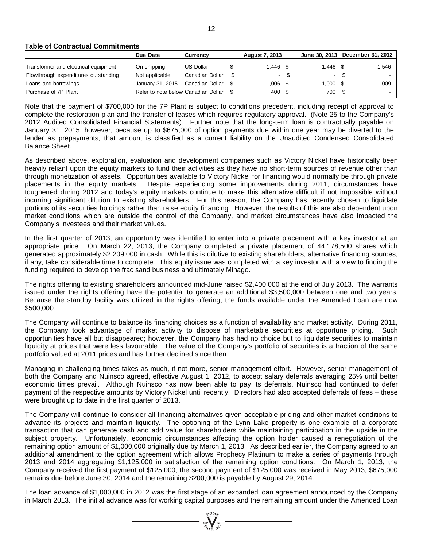**Table of Contractual Commitments**

|                                      | Due Date                            | <b>Currency</b> |  | <b>August 7, 2013</b> |      | June 30, 2013 | <b>December 31, 2012</b> |       |
|--------------------------------------|-------------------------------------|-----------------|--|-----------------------|------|---------------|--------------------------|-------|
| Transformer and electrical equipment | On shipping                         | US Dollar       |  | 1.446 \$              |      | $1.446$ \$    |                          | 1,546 |
| Flowthrough expenditures outstanding | Not applicable                      | Canadian Dollar |  |                       | - \$ | $\sim$        | - \$                     |       |
| Loans and borrowings                 | January 31, 2015                    | Canadian Dollar |  | 1.006 \$              |      | $1.000$ \$    |                          | 1,009 |
| Purchase of 7P Plant                 | Refer to note below Canadian Dollar |                 |  | 400 \$                |      | 700 \$        |                          |       |

Note that the payment of \$700,000 for the 7P Plant is subject to conditions precedent, including receipt of approval to complete the restoration plan and the transfer of leases which requires regulatory approval. (Note 25 to the Company's 2012 Audited Consolidated Financial Statements). Further note that the long-term loan is contractually payable on January 31, 2015, however, because up to \$675,000 of option payments due within one year may be diverted to the lender as prepayments, that amount is classified as a current liability on the Unaudited Condensed Consolidated Balance Sheet.

As described above, exploration, evaluation and development companies such as Victory Nickel have historically been heavily reliant upon the equity markets to fund their activities as they have no short-term sources of revenue other than through monetization of assets. Opportunities available to Victory Nickel for financing would normally be through private placements in the equity markets. Despite experiencing some improvements during 2011, circumstances have toughened during 2012 and today's equity markets continue to make this alternative difficult if not impossible without incurring significant dilution to existing shareholders. For this reason, the Company has recently chosen to liquidate portions of its securities holdings rather than raise equity financing. However, the results of this are also dependent upon market conditions which are outside the control of the Company, and market circumstances have also impacted the Company's investees and their market values.

In the first quarter of 2013, an opportunity was identified to enter into a private placement with a key investor at an appropriate price. On March 22, 2013, the Company completed a private placement of 44,178,500 shares which generated approximately \$2,209,000 in cash. While this is dilutive to existing shareholders, alternative financing sources, if any, take considerable time to complete. This equity issue was completed with a key investor with a view to finding the funding required to develop the frac sand business and ultimately Minago.

The rights offering to existing shareholders announced mid-June raised \$2,400,000 at the end of July 2013. The warrants issued under the rights offering have the potential to generate an additional \$3,500,000 between one and two years. Because the standby facility was utilized in the rights offering, the funds available under the Amended Loan are now \$500,000.

The Company will continue to balance its financing choices as a function of availability and market activity. During 2011, the Company took advantage of market activity to dispose of marketable securities at opportune pricing. Such opportunities have all but disappeared; however, the Company has had no choice but to liquidate securities to maintain liquidity at prices that were less favourable. The value of the Company's portfolio of securities is a fraction of the same portfolio valued at 2011 prices and has further declined since then.

Managing in challenging times takes as much, if not more, senior management effort. However, senior management of both the Company and Nuinsco agreed, effective August 1, 2012, to accept salary deferrals averaging 25% until better economic times prevail. Although Nuinsco has now been able to pay its deferrals, Nuinsco had continued to defer payment of the respective amounts by Victory Nickel until recently. Directors had also accepted deferrals of fees – these were brought up to date in the first quarter of 2013.

The Company will continue to consider all financing alternatives given acceptable pricing and other market conditions to advance its projects and maintain liquidity. The optioning of the Lynn Lake property is one example of a corporate transaction that can generate cash and add value for shareholders while maintaining participation in the upside in the subject property. Unfortunately, economic circumstances affecting the option holder caused a renegotiation of the remaining option amount of \$1,000,000 originally due by March 1, 2013. As described earlier, the Company agreed to an additional amendment to the option agreement which allows Prophecy Platinum to make a series of payments through 2013 and 2014 aggregating \$1,125,000 in satisfaction of the remaining option conditions. On March 1, 2013, the Company received the first payment of \$125,000; the second payment of \$125,000 was received in May 2013, \$675,000 remains due before June 30, 2014 and the remaining \$200,000 is payable by August 29, 2014.

The loan advance of \$1,000,000 in 2012 was the first stage of an expanded loan agreement announced by the Company in March 2013. The initial advance was for working capital purposes and the remaining amount under the Amended Loan

 $\sum_{\substack{100\text{ VUG0},\\ \text{with }10^\text{ V}}}$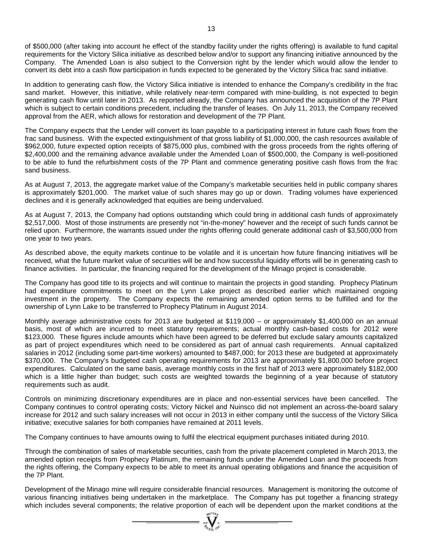of \$500,000 (after taking into account he effect of the standby facility under the rights offering) is available to fund capital requirements for the Victory Silica initiative as described below and/or to support any financing initiative announced by the Company. The Amended Loan is also subject to the Conversion right by the lender which would allow the lender to convert its debt into a cash flow participation in funds expected to be generated by the Victory Silica frac sand initiative.

In addition to generating cash flow, the Victory Silica initiative is intended to enhance the Company's credibility in the frac sand market. However, this initiative, while relatively near-term compared with mine-building, is not expected to begin generating cash flow until later in 2013. As reported already, the Company has announced the acquisition of the 7P Plant which is subject to certain conditions precedent, including the transfer of leases. On July 11, 2013, the Company received approval from the AER, which allows for restoration and development of the 7P Plant.

The Company expects that the Lender will convert its loan payable to a participating interest in future cash flows from the frac sand business. With the expected extinguishment of that gross liability of \$1,000,000, the cash resources available of \$962,000, future expected option receipts of \$875,000 plus, combined with the gross proceeds from the rights offering of \$2,400,000 and the remaining advance available under the Amended Loan of \$500,000, the Company is well-positioned to be able to fund the refurbishment costs of the 7P Plant and commence generating positive cash flows from the frac sand business.

As at August 7, 2013, the aggregate market value of the Company's marketable securities held in public company shares is approximately \$201,000. The market value of such shares may go up or down. Trading volumes have experienced declines and it is generally acknowledged that equities are being undervalued.

As at August 7, 2013, the Company had options outstanding which could bring in additional cash funds of approximately \$2,517,000. Most of those instruments are presently not "in-the-money" however and the receipt of such funds cannot be relied upon. Furthermore, the warrants issued under the rights offering could generate additional cash of \$3,500,000 from one year to two years.

As described above, the equity markets continue to be volatile and it is uncertain how future financing initiatives will be received, what the future market value of securities will be and how successful liquidity efforts will be in generating cash to finance activities. In particular, the financing required for the development of the Minago project is considerable.

The Company has good title to its projects and will continue to maintain the projects in good standing. Prophecy Platinum had expenditure commitments to meet on the Lynn Lake project as described earlier which maintained ongoing investment in the property. The Company expects the remaining amended option terms to be fulfilled and for the ownership of Lynn Lake to be transferred to Prophecy Platinum in August 2014.

Monthly average administrative costs for 2013 are budgeted at \$119,000 – or approximately \$1,400,000 on an annual basis, most of which are incurred to meet statutory requirements; actual monthly cash-based costs for 2012 were \$123,000. These figures include amounts which have been agreed to be deferred but exclude salary amounts capitalized as part of project expenditures which need to be considered as part of annual cash requirements. Annual capitalized salaries in 2012 (including some part-time workers) amounted to \$487,000; for 2013 these are budgeted at approximately \$370,000. The Company's budgeted cash operating requirements for 2013 are approximately \$1,800,000 before project expenditures. Calculated on the same basis, average monthly costs in the first half of 2013 were approximately \$182,000 which is a little higher than budget; such costs are weighted towards the beginning of a year because of statutory requirements such as audit.

Controls on minimizing discretionary expenditures are in place and non-essential services have been cancelled. The Company continues to control operating costs; Victory Nickel and Nuinsco did not implement an across-the-board salary increase for 2012 and such salary increases will not occur in 2013 in either company until the success of the Victory Silica initiative; executive salaries for both companies have remained at 2011 levels.

The Company continues to have amounts owing to fulfil the electrical equipment purchases initiated during 2010.

Through the combination of sales of marketable securities, cash from the private placement completed in March 2013, the amended option receipts from Prophecy Platinum, the remaining funds under the Amended Loan and the proceeds from the rights offering, the Company expects to be able to meet its annual operating obligations and finance the acquisition of the 7P Plant.

Development of the Minago mine will require considerable financial resources. Management is monitoring the outcome of various financing initiatives being undertaken in the marketplace. The Company has put together a financing strategy which includes several components; the relative proportion of each will be dependent upon the market conditions at the  $\frac{W_{\text{tot}}}{\phi_{\text{cut}} + \phi_{\text{tot}} + \phi_{\text{cut}} + \phi_{\text{cut}} + \phi_{\text{cut}} + \phi_{\text{cut}} + \phi_{\text{cut}} + \phi_{\text{cut}} + \phi_{\text{cut}} + \phi_{\text{cut}} +$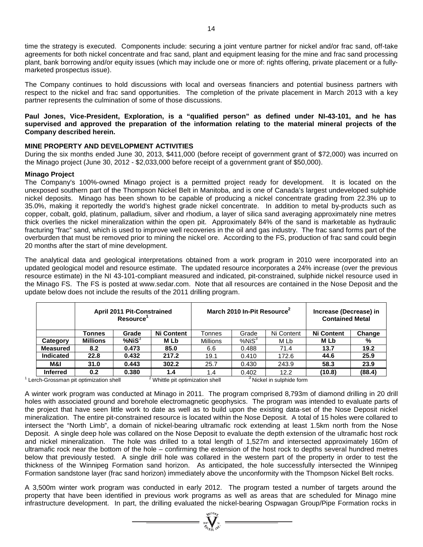time the strategy is executed. Components include: securing a joint venture partner for nickel and/or frac sand, off-take agreements for both nickel concentrate and frac sand, plant and equipment leasing for the mine and frac sand processing plant, bank borrowing and/or equity issues (which may include one or more of: rights offering, private placement or a fullymarketed prospectus issue).

The Company continues to hold discussions with local and overseas financiers and potential business partners with respect to the nickel and frac sand opportunities. The completion of the private placement in March 2013 with a key partner represents the culmination of some of those discussions.

# **Paul Jones, Vice-President, Exploration, is a "qualified person" as defined under NI-43-101, and he has supervised and approved the preparation of the information relating to the material mineral projects of the Company described herein.**

# **MINE PROPERTY AND DEVELOPMENT ACTIVITIES**

During the six months ended June 30, 2013, \$411,000 (before receipt of government grant of \$72,000) was incurred on the Minago project (June 30, 2012 - \$2,033,000 before receipt of a government grant of \$50,000).

# **Minago Project**

The Company's 100%-owned Minago project is a permitted project ready for development. It is located on the unexposed southern part of the Thompson Nickel Belt in Manitoba, and is one of Canada's largest undeveloped sulphide nickel deposits. Minago has been shown to be capable of producing a nickel concentrate grading from 22.3% up to 35.0%, making it reportedly the world's highest grade nickel concentrate. In addition to metal by-products such as copper, cobalt, gold, platinum, palladium, silver and rhodium, a layer of silica sand averaging approximately nine metres thick overlies the nickel mineralization within the open pit. Approximately 84% of the sand is marketable as hydraulic fracturing "frac" sand, which is used to improve well recoveries in the oil and gas industry. The frac sand forms part of the overburden that must be removed prior to mining the nickel ore. According to the FS, production of frac sand could begin 20 months after the start of mine development.

The analytical data and geological interpretations obtained from a work program in 2010 were incorporated into an updated geological model and resource estimate. The updated resource incorporates a 24% increase (over the previous resource estimate) in the NI 43-101-compliant measured and indicated, pit-constrained, sulphide nickel resource used in the Minago FS. The FS is posted at [www.sedar.com.](http://www.sedar.com/) Note that all resources are contained in the Nose Deposit and the update below does not include the results of the 2011 drilling program.

|                  |                 | <b>April 2011 Pit-Constrained</b><br>Resource <sup>1</sup> |                   |                 | March 2010 In-Pit Resource <sup>2</sup> | Increase (Decrease) in<br><b>Contained Metal</b> |                   |        |
|------------------|-----------------|------------------------------------------------------------|-------------------|-----------------|-----------------------------------------|--------------------------------------------------|-------------------|--------|
|                  | Tonnes          | Grade                                                      | <b>Ni Content</b> | Tonnes          | Grade                                   | Ni Content                                       | <b>Ni Content</b> | Change |
| Category         | <b>Millions</b> | $%$ Ni $S^3$                                               | M Lb              | <b>Millions</b> | %NiS <sup>3</sup>                       | M Lb                                             | M Lb              | %      |
| <b>Measured</b>  | 8.2             | 0.473                                                      | 85.0              | 6.6             | 0.488                                   | 71.4                                             | 13.7              | 19.2   |
| <b>Indicated</b> | 22.8            | 0.432                                                      | 217.2             | 19.1            | 0.410                                   | 172.6                                            | 44.6              | 25.9   |
| M&I              | 31.0            | 0.443                                                      | 302.2             | 25.7            | 0.430                                   | 243.9                                            | 58.3              | 23.9   |
| <b>Inferred</b>  | 0.2             | 0.380                                                      | 1.4               | 1.4             | 0.402                                   | 12.2                                             | (10.8)            | (88.4) |

 $1$  Lerch-Grossman pit optimization shell  $2$  Whittle pit optimization shell  $3$  Nickel in sulphide form

A winter work program was conducted at Minago in 2011. The program comprised 8,793m of diamond drilling in 20 drill holes with associated ground and borehole electromagnetic geophysics. The program was intended to evaluate parts of the project that have seen little work to date as well as to build upon the existing data-set of the Nose Deposit nickel mineralization. The entire pit-constrained resource is located within the Nose Deposit. A total of 15 holes were collared to intersect the "North Limb", a domain of nickel-bearing ultramafic rock extending at least 1.5km north from the Nose Deposit. A single deep hole was collared on the Nose Deposit to evaluate the depth extension of the ultramafic host rock and nickel mineralization. The hole was drilled to a total length of 1,527m and intersected approximately 160m of ultramafic rock near the bottom of the hole – confirming the extension of the host rock to depths several hundred metres below that previously tested. A single drill hole was collared in the western part of the property in order to test the thickness of the Winnipeg Formation sand horizon. As anticipated, the hole successfully intersected the Winnipeg Formation sandstone layer (frac sand horizon) immediately above the unconformity with the Thompson Nickel Belt rocks.

A 3,500m winter work program was conducted in early 2012. The program tested a number of targets around the property that have been identified in previous work programs as well as areas that are scheduled for Minago mine infrastructure development. In part, the drilling evaluated the nickel-bearing Ospwagan Group/Pipe Formation rocks in

 $\sum_{\substack{300 \text{ N} \text{ odd}}}^{\substack{3000 \text{ N} \text{ odd}}}$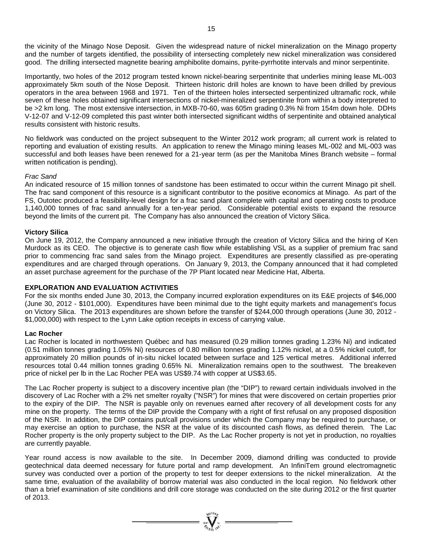the vicinity of the Minago Nose Deposit. Given the widespread nature of nickel mineralization on the Minago property and the number of targets identified, the possibility of intersecting completely new nickel mineralization was considered good. The drilling intersected magnetite bearing amphibolite domains, pyrite-pyrrhotite intervals and minor serpentinite.

Importantly, two holes of the 2012 program tested known nickel-bearing serpentinite that underlies mining lease ML-003 approximately 5km south of the Nose Deposit. Thirteen historic drill holes are known to have been drilled by previous operators in the area between 1968 and 1971. Ten of the thirteen holes intersected serpentinized ultramafic rock, while seven of these holes obtained significant intersections of nickel-mineralized serpentinite from within a body interpreted to be >2 km long. The most extensive intersection, in MXB-70-60, was 605m grading 0.3% Ni from 154m down hole. DDHs V-12-07 and V-12-09 completed this past winter both intersected significant widths of serpentinite and obtained analytical results consistent with historic results.

No fieldwork was conducted on the project subsequent to the Winter 2012 work program; all current work is related to reporting and evaluation of existing results. An application to renew the Minago mining leases ML-002 and ML-003 was successful and both leases have been renewed for a 21-year term (as per the Manitoba Mines Branch website – formal written notification is pending).

#### *Frac Sand*

An indicated resource of 15 million tonnes of sandstone has been estimated to occur within the current Minago pit shell. The frac sand component of this resource is a significant contributor to the positive economics at Minago. As part of the FS, Outotec produced a feasibility-level design for a frac sand plant complete with capital and operating costs to produce 1,140,000 tonnes of frac sand annually for a ten-year period. Considerable potential exists to expand the resource beyond the limits of the current pit. The Company has also announced the creation of Victory Silica.

#### **Victory Silica**

On June 19, 2012, the Company announced a new initiative through the creation of Victory Silica and the hiring of Ken Murdock as its CEO. The objective is to generate cash flow while establishing VSL as a supplier of premium frac sand prior to commencing frac sand sales from the Minago project. Expenditures are presently classified as pre-operating expenditures and are charged through operations. On January 9, 2013, the Company announced that it had completed an asset purchase agreement for the purchase of the 7P Plant located near Medicine Hat, Alberta.

#### **EXPLORATION AND EVALUATION ACTIVITIES**

For the six months ended June 30, 2013, the Company incurred exploration expenditures on its E&E projects of \$46,000 (June 30, 2012 - \$101,000). Expenditures have been minimal due to the tight equity markets and management's focus on Victory Silica. The 2013 expenditures are shown before the transfer of \$244,000 through operations (June 30, 2012 - \$1,000,000) with respect to the Lynn Lake option receipts in excess of carrying value.

#### **Lac Rocher**

Lac Rocher is located in northwestern Québec and has measured (0.29 million tonnes grading 1.23% Ni) and indicated (0.51 million tonnes grading 1.05% Ni) resources of 0.80 million tonnes grading 1.12% nickel, at a 0.5% nickel cutoff, for approximately 20 million pounds of in-situ nickel located between surface and 125 vertical metres. Additional inferred resources total 0.44 million tonnes grading 0.65% Ni. Mineralization remains open to the southwest. The breakeven price of nickel per lb in the Lac Rocher PEA was US\$9.74 with copper at US\$3.65.

The Lac Rocher property is subject to a discovery incentive plan (the "DIP") to reward certain individuals involved in the discovery of Lac Rocher with a 2% net smelter royalty ("NSR") for mines that were discovered on certain properties prior to the expiry of the DIP. The NSR is payable only on revenues earned after recovery of all development costs for any mine on the property. The terms of the DIP provide the Company with a right of first refusal on any proposed disposition of the NSR. In addition, the DIP contains put/call provisions under which the Company may be required to purchase, or may exercise an option to purchase, the NSR at the value of its discounted cash flows, as defined therein. The Lac Rocher property is the only property subject to the DIP. As the Lac Rocher property is not yet in production, no royalties are currently payable.

Year round access is now available to the site. In December 2009, diamond drilling was conducted to provide geotechnical data deemed necessary for future portal and ramp development. An InfiniTem ground electromagnetic survey was conducted over a portion of the property to test for deeper extensions to the nickel mineralization. At the same time, evaluation of the availability of borrow material was also conducted in the local region. No fieldwork other than a brief examination of site conditions and drill core storage was conducted on the site during 2012 or the first quarter of 2013.

=  $\sum_{i=1}^{N} \sum_{i=1}^{N}$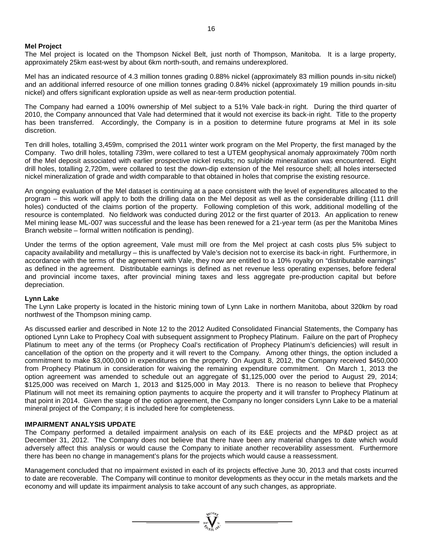#### **Mel Project**

The Mel project is located on the Thompson Nickel Belt, just north of Thompson, Manitoba. It is a large property, approximately 25km east-west by about 6km north-south, and remains underexplored.

Mel has an indicated resource of 4.3 million tonnes grading 0.88% nickel (approximately 83 million pounds in-situ nickel) and an additional inferred resource of one million tonnes grading 0.84% nickel (approximately 19 million pounds in-situ nickel) and offers significant exploration upside as well as near-term production potential.

The Company had earned a 100% ownership of Mel subject to a 51% Vale back-in right. During the third quarter of 2010, the Company announced that Vale had determined that it would not exercise its back-in right. Title to the property has been transferred. Accordingly, the Company is in a position to determine future programs at Mel in its sole discretion.

Ten drill holes, totalling 3,459m, comprised the 2011 winter work program on the Mel Property, the first managed by the Company. Two drill holes, totalling 739m, were collared to test a UTEM geophysical anomaly approximately 700m north of the Mel deposit associated with earlier prospective nickel results; no sulphide mineralization was encountered. Eight drill holes, totalling 2,720m, were collared to test the down-dip extension of the Mel resource shell; all holes intersected nickel mineralization of grade and width comparable to that obtained in holes that comprise the existing resource.

An ongoing evaluation of the Mel dataset is continuing at a pace consistent with the level of expenditures allocated to the program – this work will apply to both the drilling data on the Mel deposit as well as the considerable drilling (111 drill holes) conducted of the claims portion of the property. Following completion of this work, additional modelling of the resource is contemplated. No fieldwork was conducted during 2012 or the first quarter of 2013. An application to renew Mel mining lease ML-007 was successful and the lease has been renewed for a 21-year term (as per the Manitoba Mines Branch website – formal written notification is pending).

Under the terms of the option agreement, Vale must mill ore from the Mel project at cash costs plus 5% subject to capacity availability and metallurgy – this is unaffected by Vale's decision not to exercise its back-in right. Furthermore, in accordance with the terms of the agreement with Vale, they now are entitled to a 10% royalty on "distributable earnings" as defined in the agreement. Distributable earnings is defined as net revenue less operating expenses, before federal and provincial income taxes, after provincial mining taxes and less aggregate pre-production capital but before depreciation.

#### **Lynn Lake**

The Lynn Lake property is located in the historic mining town of Lynn Lake in northern Manitoba, about 320km by road northwest of the Thompson mining camp.

As discussed earlier and described in Note 12 to the 2012 Audited Consolidated Financial Statements, the Company has optioned Lynn Lake to Prophecy Coal with subsequent assignment to Prophecy Platinum. Failure on the part of Prophecy Platinum to meet any of the terms (or Prophecy Coal's rectification of Prophecy Platinum's deficiencies) will result in cancellation of the option on the property and it will revert to the Company. Among other things, the option included a commitment to make \$3,000,000 in expenditures on the property. On August 8, 2012, the Company received \$450,000 from Prophecy Platinum in consideration for waiving the remaining expenditure commitment. On March 1, 2013 the option agreement was amended to schedule out an aggregate of \$1,125,000 over the period to August 29, 2014; \$125,000 was received on March 1, 2013 and \$125,000 in May 2013. There is no reason to believe that Prophecy Platinum will not meet its remaining option payments to acquire the property and it will transfer to Prophecy Platinum at that point in 2014. Given the stage of the option agreement, the Company no longer considers Lynn Lake to be a material mineral project of the Company; it is included here for completeness.

#### **IMPAIRMENT ANALYSIS UPDATE**

The Company performed a detailed impairment analysis on each of its E&E projects and the MP&D project as at December 31, 2012. The Company does not believe that there have been any material changes to date which would adversely affect this analysis or would cause the Company to initiate another recoverability assessment. Furthermore there has been no change in management's plans for the projects which would cause a reassessment.

Management concluded that no impairment existed in each of its projects effective June 30, 2013 and that costs incurred to date are recoverable. The Company will continue to monitor developments as they occur in the metals markets and the economy and will update its impairment analysis to take account of any such changes, as appropriate.

 $= \prod_{\substack{i=1 \\ i \neq j}}^{q_i(10j_j)}$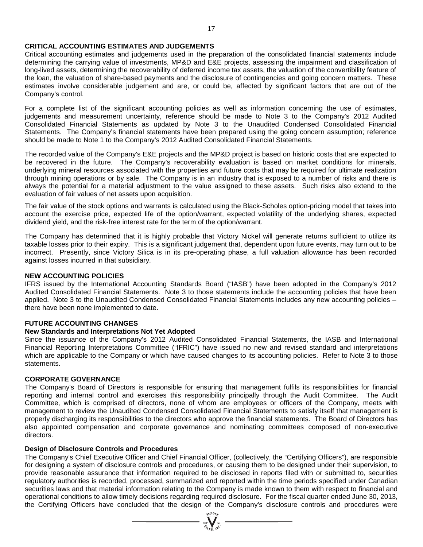# **CRITICAL ACCOUNTING ESTIMATES AND JUDGEMENTS**

Critical accounting estimates and judgements used in the preparation of the consolidated financial statements include determining the carrying value of investments, MP&D and E&E projects, assessing the impairment and classification of long-lived assets, determining the recoverability of deferred income tax assets, the valuation of the convertibility feature of the loan, the valuation of share-based payments and the disclosure of contingencies and going concern matters. These estimates involve considerable judgement and are, or could be, affected by significant factors that are out of the Company's control.

For a complete list of the significant accounting policies as well as information concerning the use of estimates, judgements and measurement uncertainty, reference should be made to Note 3 to the Company's 2012 Audited Consolidated Financial Statements as updated by Note 3 to the Unaudited Condensed Consolidated Financial Statements. The Company's financial statements have been prepared using the going concern assumption; reference should be made to Note 1 to the Company's 2012 Audited Consolidated Financial Statements.

The recorded value of the Company's E&E projects and the MP&D project is based on historic costs that are expected to be recovered in the future. The Company's recoverability evaluation is based on market conditions for minerals, underlying mineral resources associated with the properties and future costs that may be required for ultimate realization through mining operations or by sale. The Company is in an industry that is exposed to a number of risks and there is always the potential for a material adjustment to the value assigned to these assets. Such risks also extend to the evaluation of fair values of net assets upon acquisition.

The fair value of the stock options and warrants is calculated using the Black-Scholes option-pricing model that takes into account the exercise price, expected life of the option/warrant, expected volatility of the underlying shares, expected dividend yield, and the risk-free interest rate for the term of the option/warrant.

The Company has determined that it is highly probable that Victory Nickel will generate returns sufficient to utilize its taxable losses prior to their expiry. This is a significant judgement that, dependent upon future events, may turn out to be incorrect. Presently, since Victory Silica is in its pre-operating phase, a full valuation allowance has been recorded against losses incurred in that subsidiary.

# **NEW ACCOUNTING POLICIES**

IFRS issued by the International Accounting Standards Board ("IASB") have been adopted in the Company's 2012 Audited Consolidated Financial Statements. Note 3 to those statements include the accounting policies that have been applied. Note 3 to the Unaudited Condensed Consolidated Financial Statements includes any new accounting policies – there have been none implemented to date.

# **FUTURE ACCOUNTING CHANGES**

# **New Standards and Interpretations Not Yet Adopted**

Since the issuance of the Company's 2012 Audited Consolidated Financial Statements, the IASB and International Financial Reporting Interpretations Committee ("IFRIC") have issued no new and revised standard and interpretations which are applicable to the Company or which have caused changes to its accounting policies. Refer to Note 3 to those statements.

# **CORPORATE GOVERNANCE**

The Company's Board of Directors is responsible for ensuring that management fulfils its responsibilities for financial reporting and internal control and exercises this responsibility principally through the Audit Committee. The Audit Committee, which is comprised of directors, none of whom are employees or officers of the Company, meets with management to review the Unaudited Condensed Consolidated Financial Statements to satisfy itself that management is properly discharging its responsibilities to the directors who approve the financial statements. The Board of Directors has also appointed compensation and corporate governance and nominating committees composed of non-executive directors.

# **Design of Disclosure Controls and Procedures**

The Company's Chief Executive Officer and Chief Financial Officer, (collectively, the "Certifying Officers"), are responsible for designing a system of disclosure controls and procedures, or causing them to be designed under their supervision, to provide reasonable assurance that information required to be disclosed in reports filed with or submitted to, securities regulatory authorities is recorded, processed, summarized and reported within the time periods specified under Canadian securities laws and that material information relating to the Company is made known to them with respect to financial and operational conditions to allow timely decisions regarding required disclosure. For the fiscal quarter ended June 30, 2013, the Certifying Officers have concluded that the design of the Company's disclosure controls and procedures were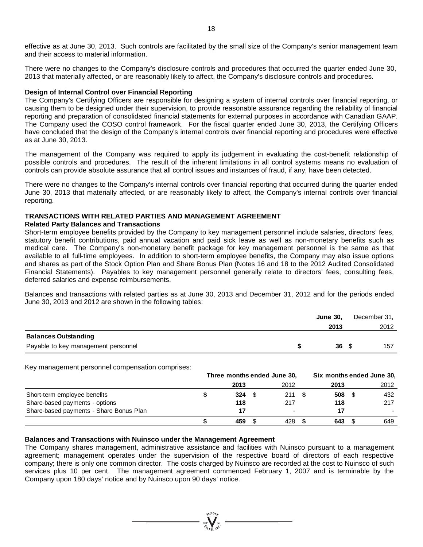There were no changes to the Company's disclosure controls and procedures that occurred the quarter ended June 30, 2013 that materially affected, or are reasonably likely to affect, the Company's disclosure controls and procedures.

# **Design of Internal Control over Financial Reporting**

The Company's Certifying Officers are responsible for designing a system of internal controls over financial reporting, or causing them to be designed under their supervision, to provide reasonable assurance regarding the reliability of financial reporting and preparation of consolidated financial statements for external purposes in accordance with Canadian GAAP. The Company used the COSO control framework. For the fiscal quarter ended June 30, 2013, the Certifying Officers have concluded that the design of the Company's internal controls over financial reporting and procedures were effective as at June 30, 2013.

The management of the Company was required to apply its judgement in evaluating the cost-benefit relationship of possible controls and procedures. The result of the inherent limitations in all control systems means no evaluation of controls can provide absolute assurance that all control issues and instances of fraud, if any, have been detected.

There were no changes to the Company's internal controls over financial reporting that occurred during the quarter ended June 30, 2013 that materially affected, or are reasonably likely to affect, the Company's internal controls over financial reporting.

# **TRANSACTIONS WITH RELATED PARTIES AND MANAGEMENT AGREEMENT**

# **Related Party Balances and Transactions**

Short-term employee benefits provided by the Company to key management personnel include salaries, directors' fees, statutory benefit contributions, paid annual vacation and paid sick leave as well as non-monetary benefits such as medical care. The Company's non-monetary benefit package for key management personnel is the same as that available to all full-time employees. In addition to short-term employee benefits, the Company may also issue options and shares as part of the Stock Option Plan and Share Bonus Plan (Notes 16 and 18 to the 2012 Audited Consolidated Financial Statements). Payables to key management personnel generally relate to directors' fees, consulting fees, deferred salaries and expense reimbursements.

Balances and transactions with related parties as at June 30, 2013 and December 31, 2012 and for the periods ended June 30, 2013 and 2012 are shown in the following tables:

|                                     | <b>June 30.</b> | December 31, |
|-------------------------------------|-----------------|--------------|
|                                     | 2013            | 2012         |
| <b>Balances Outstanding</b>         |                 |              |
| Payable to key management personnel | 36S             | 157          |

Key management personnel compensation comprises:

|                                         | Three months ended June 30, |      |  |      |  | Six months ended June 30, |  |      |  |
|-----------------------------------------|-----------------------------|------|--|------|--|---------------------------|--|------|--|
|                                         |                             | 2013 |  | 2012 |  | 2013                      |  | 2012 |  |
| Short-term employee benefits            |                             | 324  |  | 211  |  | 508                       |  | 432  |  |
| Share-based payments - options          |                             | 118  |  | 217  |  | 118                       |  | 217  |  |
| Share-based payments - Share Bonus Plan |                             |      |  |      |  |                           |  |      |  |
|                                         |                             | 459  |  | 428  |  | 643                       |  | 649  |  |

# **Balances and Transactions with Nuinsco under the Management Agreement**

The Company shares management, administrative assistance and facilities with Nuinsco pursuant to a management agreement; management operates under the supervision of the respective board of directors of each respective company; there is only one common director. The costs charged by Nuinsco are recorded at the cost to Nuinsco of such services plus 10 per cent. The management agreement commenced February 1, 2007 and is terminable by the Company upon 180 days' notice and by Nuinsco upon 90 days' notice.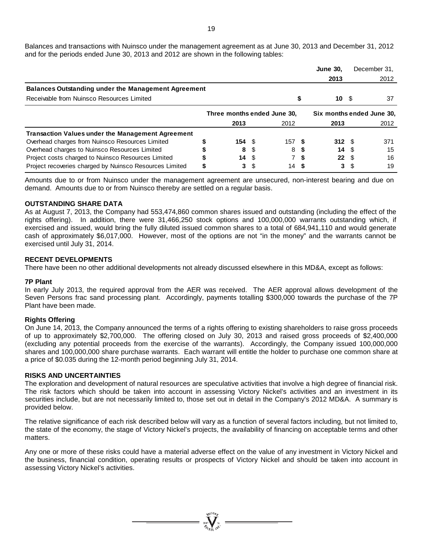Balances and transactions with Nuinsco under the management agreement as at June 30, 2013 and December 31, 2012 and for the periods ended June 30, 2013 and 2012 are shown in the following tables:

|                                                            |           |     |                             |      | <b>June 30,</b>        |            | December 31.              |
|------------------------------------------------------------|-----------|-----|-----------------------------|------|------------------------|------------|---------------------------|
|                                                            |           |     |                             |      | 2013                   |            | 2012                      |
| <b>Balances Outstanding under the Management Agreement</b> |           |     |                             |      |                        |            |                           |
| Receivable from Nuinsco Resources Limited                  |           |     |                             |      | 10                     | - \$       | 37                        |
|                                                            |           |     | Three months ended June 30. |      |                        |            | Six months ended June 30, |
|                                                            | 2013      |     | 2012                        |      | 2013                   |            | 2012                      |
| <b>Transaction Values under the Management Agreement</b>   |           |     |                             |      |                        |            |                           |
| Overhead charges from Nuinsco Resources Limited            | $154 \tS$ |     | 157 S                       |      | $312 \quad \text{\AA}$ |            | 371                       |
| Overhead charges to Nuinsco Resources Limited              | 8         | \$. | 8                           | - 56 |                        | 14 S       | 15                        |
| Project costs charged to Nuinsco Resources Limited         | 14S       |     |                             | -S   |                        | $22 \quad$ | 16                        |
| Project recoveries charged by Nuinsco Resources Limited    | 3         | S   | 14S                         |      | 3.                     |            | 19                        |

Amounts due to or from Nuinsco under the management agreement are unsecured, non-interest bearing and due on demand. Amounts due to or from Nuinsco thereby are settled on a regular basis.

#### **OUTSTANDING SHARE DATA**

As at August 7, 2013, the Company had 553,474,860 common shares issued and outstanding (including the effect of the rights offering). In addition, there were 31,466,250 stock options and 100,000,000 warrants outstanding which, if exercised and issued, would bring the fully diluted issued common shares to a total of 684,941,110 and would generate cash of approximately \$6,017,000. However, most of the options are not "in the money" and the warrants cannot be exercised until July 31, 2014.

#### **RECENT DEVELOPMENTS**

There have been no other additional developments not already discussed elsewhere in this MD&A, except as follows:

#### **7P Plant**

In early July 2013, the required approval from the AER was received. The AER approval allows development of the Seven Persons frac sand processing plant. Accordingly, payments totalling \$300,000 towards the purchase of the 7P Plant have been made.

#### **Rights Offering**

On June 14, 2013, the Company announced the terms of a rights offering to existing shareholders to raise gross proceeds of up to approximately \$2,700,000. The offering closed on July 30, 2013 and raised gross proceeds of \$2,400,000 (excluding any potential proceeds from the exercise of the warrants). Accordingly, the Company issued 100,000,000 shares and 100,000,000 share purchase warrants. Each warrant will entitle the holder to purchase one common share at a price of \$0.035 during the 12-month period beginning July 31, 2014.

#### **RISKS AND UNCERTAINTIES**

The exploration and development of natural resources are speculative activities that involve a high degree of financial risk. The risk factors which should be taken into account in assessing Victory Nickel's activities and an investment in its securities include, but are not necessarily limited to, those set out in detail in the Company's 2012 MD&A. A summary is provided below.

The relative significance of each risk described below will vary as a function of several factors including, but not limited to, the state of the economy, the stage of Victory Nickel's projects, the availability of financing on acceptable terms and other matters.

Any one or more of these risks could have a material adverse effect on the value of any investment in Victory Nickel and the business, financial condition, operating results or prospects of Victory Nickel and should be taken into account in assessing Victory Nickel's activities.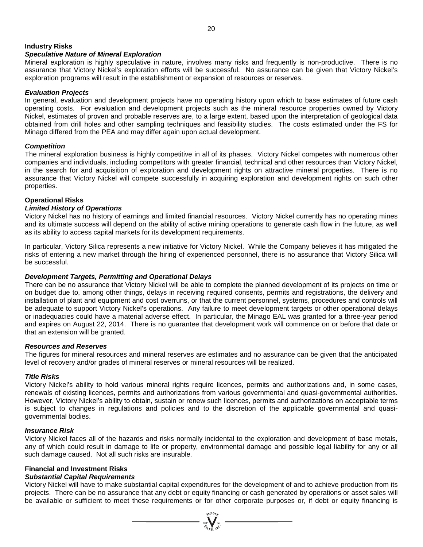# **Industry Risks**

# *Speculative Nature of Mineral Exploration*

Mineral exploration is highly speculative in nature, involves many risks and frequently is non-productive. There is no assurance that Victory Nickel's exploration efforts will be successful. No assurance can be given that Victory Nickel's exploration programs will result in the establishment or expansion of resources or reserves.

#### *Evaluation Projects*

In general, evaluation and development projects have no operating history upon which to base estimates of future cash operating costs. For evaluation and development projects such as the mineral resource properties owned by Victory Nickel, estimates of proven and probable reserves are, to a large extent, based upon the interpretation of geological data obtained from drill holes and other sampling techniques and feasibility studies. The costs estimated under the FS for Minago differed from the PEA and may differ again upon actual development.

# *Competition*

The mineral exploration business is highly competitive in all of its phases. Victory Nickel competes with numerous other companies and individuals, including competitors with greater financial, technical and other resources than Victory Nickel, in the search for and acquisition of exploration and development rights on attractive mineral properties. There is no assurance that Victory Nickel will compete successfully in acquiring exploration and development rights on such other properties.

# **Operational Risks**

# *Limited History of Operations*

Victory Nickel has no history of earnings and limited financial resources. Victory Nickel currently has no operating mines and its ultimate success will depend on the ability of active mining operations to generate cash flow in the future, as well as its ability to access capital markets for its development requirements.

In particular, Victory Silica represents a new initiative for Victory Nickel. While the Company believes it has mitigated the risks of entering a new market through the hiring of experienced personnel, there is no assurance that Victory Silica will be successful.

#### *Development Targets, Permitting and Operational Delays*

There can be no assurance that Victory Nickel will be able to complete the planned development of its projects on time or on budget due to, among other things, delays in receiving required consents, permits and registrations, the delivery and installation of plant and equipment and cost overruns, or that the current personnel, systems, procedures and controls will be adequate to support Victory Nickel's operations. Any failure to meet development targets or other operational delays or inadequacies could have a material adverse effect. In particular, the Minago EAL was granted for a three-year period and expires on August 22, 2014. There is no guarantee that development work will commence on or before that date or that an extension will be granted.

#### *Resources and Reserves*

The figures for mineral resources and mineral reserves are estimates and no assurance can be given that the anticipated level of recovery and/or grades of mineral reserves or mineral resources will be realized.

# *Title Risks*

Victory Nickel's ability to hold various mineral rights require licences, permits and authorizations and, in some cases, renewals of existing licences, permits and authorizations from various governmental and quasi-governmental authorities. However, Victory Nickel's ability to obtain, sustain or renew such licences, permits and authorizations on acceptable terms is subject to changes in regulations and policies and to the discretion of the applicable governmental and quasigovernmental bodies.

#### *Insurance Risk*

Victory Nickel faces all of the hazards and risks normally incidental to the exploration and development of base metals, any of which could result in damage to life or property, environmental damage and possible legal liability for any or all such damage caused. Not all such risks are insurable.

# **Financial and Investment Risks**

# *Substantial Capital Requirements*

Victory Nickel will have to make substantial capital expenditures for the development of and to achieve production from its projects. There can be no assurance that any debt or equity financing or cash generated by operations or asset sales will be available or sufficient to meet these requirements or for other corporate purposes or, if debt or equity financing is

=  $\sum_{i=1}^{N} \sum_{j=1}^{N}$  =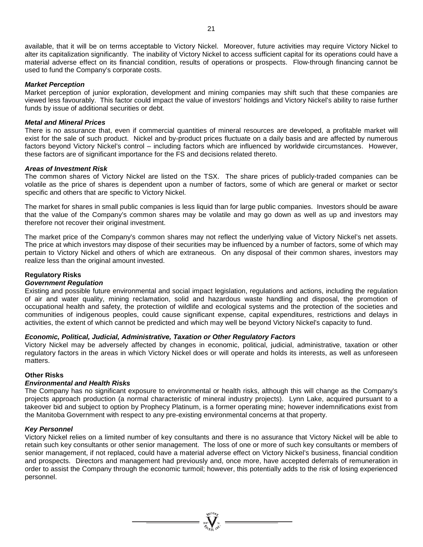available, that it will be on terms acceptable to Victory Nickel. Moreover, future activities may require Victory Nickel to alter its capitalization significantly. The inability of Victory Nickel to access sufficient capital for its operations could have a material adverse effect on its financial condition, results of operations or prospects. Flow-through financing cannot be used to fund the Company's corporate costs.

#### *Market Perception*

Market perception of junior exploration, development and mining companies may shift such that these companies are viewed less favourably. This factor could impact the value of investors' holdings and Victory Nickel's ability to raise further funds by issue of additional securities or debt.

#### *Metal and Mineral Prices*

There is no assurance that, even if commercial quantities of mineral resources are developed, a profitable market will exist for the sale of such product. Nickel and by-product prices fluctuate on a daily basis and are affected by numerous factors beyond Victory Nickel's control – including factors which are influenced by worldwide circumstances. However, these factors are of significant importance for the FS and decisions related thereto.

#### *Areas of Investment Risk*

The common shares of Victory Nickel are listed on the TSX. The share prices of publicly-traded companies can be volatile as the price of shares is dependent upon a number of factors, some of which are general or market or sector specific and others that are specific to Victory Nickel.

The market for shares in small public companies is less liquid than for large public companies. Investors should be aware that the value of the Company's common shares may be volatile and may go down as well as up and investors may therefore not recover their original investment.

The market price of the Company's common shares may not reflect the underlying value of Victory Nickel's net assets. The price at which investors may dispose of their securities may be influenced by a number of factors, some of which may pertain to Victory Nickel and others of which are extraneous. On any disposal of their common shares, investors may realize less than the original amount invested.

# **Regulatory Risks**

#### *Government Regulation*

Existing and possible future environmental and social impact legislation, regulations and actions, including the regulation of air and water quality, mining reclamation, solid and hazardous waste handling and disposal, the promotion of occupational health and safety, the protection of wildlife and ecological systems and the protection of the societies and communities of indigenous peoples, could cause significant expense, capital expenditures, restrictions and delays in activities, the extent of which cannot be predicted and which may well be beyond Victory Nickel's capacity to fund.

# *Economic, Political, Judicial, Administrative, Taxation or Other Regulatory Factors*

Victory Nickel may be adversely affected by changes in economic, political, judicial, administrative, taxation or other regulatory factors in the areas in which Victory Nickel does or will operate and holds its interests, as well as unforeseen matters.

# **Other Risks**

# *Environmental and Health Risks*

The Company has no significant exposure to environmental or health risks, although this will change as the Company's projects approach production (a normal characteristic of mineral industry projects). Lynn Lake, acquired pursuant to a takeover bid and subject to option by Prophecy Platinum, is a former operating mine; however indemnifications exist from the Manitoba Government with respect to any pre-existing environmental concerns at that property.

#### *Key Personnel*

Victory Nickel relies on a limited number of key consultants and there is no assurance that Victory Nickel will be able to retain such key consultants or other senior management. The loss of one or more of such key consultants or members of senior management, if not replaced, could have a material adverse effect on Victory Nickel's business, financial condition and prospects. Directors and management had previously and, once more, have accepted deferrals of remuneration in order to assist the Company through the economic turmoil; however, this potentially adds to the risk of losing experienced personnel.